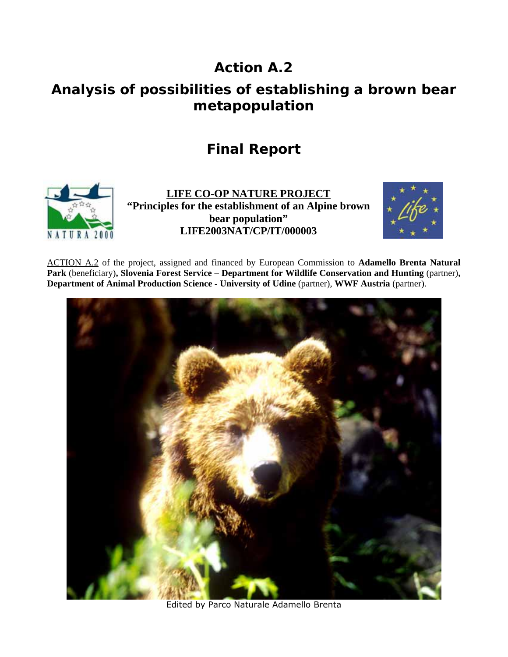## **Action A.2**

## **Analysis of possibilities of establishing a brown bear metapopulation**

## **Final Report**



**LIFE CO-OP NATURE PROJECT "Principles for the establishment of an Alpine brown bear population" LIFE2003NAT/CP/IT/000003** 



ACTION A.2 of the project, assigned and financed by European Commission to **Adamello Brenta Natural**  Park (beneficiary), Slovenia Forest Service – Department for Wildlife Conservation and Hunting (partner), **Department of Animal Production Science - University of Udine** (partner), **WWF Austria** (partner).



Edited by Parco Naturale Adamello Brenta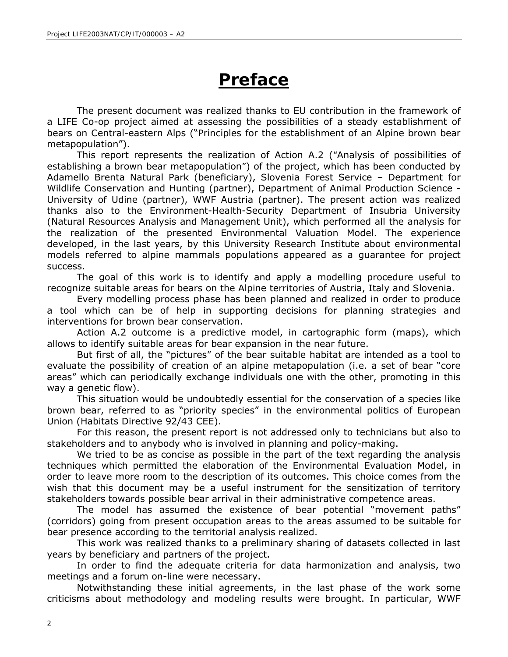# **Preface**

The present document was realized thanks to EU contribution in the framework of a LIFE Co-op project aimed at assessing the possibilities of a steady establishment of bears on Central-eastern Alps ("*Principles for the establishment of an Alpine brown bear metapopulation*").

This report represents the realization of Action A.2 (*"Analysis of possibilities of establishing a brown bear metapopulation"*) of the project, which has been conducted by Adamello Brenta Natural Park (beneficiary), Slovenia Forest Service – Department for Wildlife Conservation and Hunting (partner), Department of Animal Production Science - University of Udine (partner), WWF Austria (partner). The present action was realized thanks also to the Environment-Health-Security Department of Insubria University (Natural Resources Analysis and Management Unit), which performed all the analysis for the realization of the presented Environmental Valuation Model. The experience developed, in the last years, by this University Research Institute about environmental models referred to alpine mammals populations appeared as a guarantee for project success.

The goal of this work is to identify and apply a modelling procedure useful to recognize suitable areas for bears on the Alpine territories of Austria, Italy and Slovenia.

Every modelling process phase has been planned and realized in order to produce a tool which can be of help in supporting decisions for planning strategies and interventions for brown bear conservation.

Action A.2 outcome is a predictive model, in cartographic form (maps), which allows to identify suitable areas for bear expansion in the near future.

But first of all, the "pictures" of the bear suitable habitat are intended as a tool to evaluate the possibility of creation of an alpine metapopulation (i.e. a set of bear "core areas" which can periodically exchange individuals one with the other, promoting in this way a genetic flow).

This situation would be undoubtedly essential for the conservation of a species like brown bear, referred to as "priority species" in the environmental politics of European Union (Habitats Directive 92/43 CEE).

For this reason, the present report is not addressed only to technicians but also to stakeholders and to anybody who is involved in planning and policy-making.

We tried to be as concise as possible in the part of the text regarding the analysis techniques which permitted the elaboration of the Environmental Evaluation Model, in order to leave more room to the description of its outcomes. This choice comes from the wish that this document may be a useful instrument for the sensitization of territory stakeholders towards possible bear arrival in their administrative competence areas.

The model has assumed the existence of bear potential "movement paths" (corridors) going from present occupation areas to the areas assumed to be suitable for bear presence according to the territorial analysis realized.

This work was realized thanks to a preliminary sharing of datasets collected in last years by beneficiary and partners of the project.

In order to find the adequate criteria for data harmonization and analysis, two meetings and a forum on-line were necessary.

Notwithstanding these initial agreements, in the last phase of the work some criticisms about methodology and modeling results were brought. In particular, WWF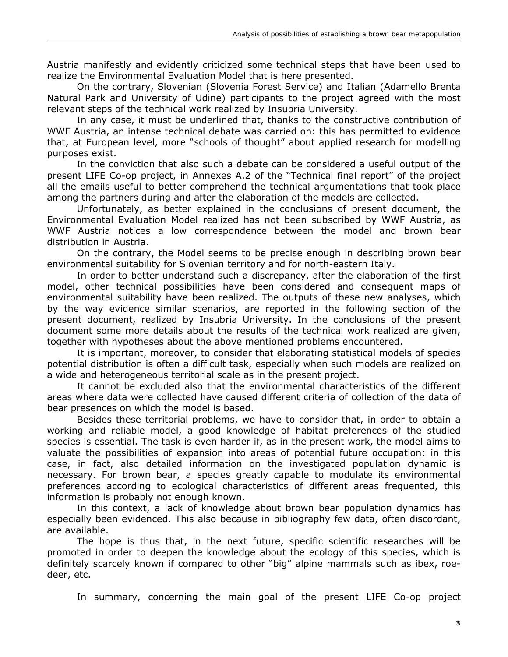Austria manifestly and evidently criticized some technical steps that have been used to realize the Environmental Evaluation Model that is here presented.

On the contrary, Slovenian (Slovenia Forest Service) and Italian (Adamello Brenta Natural Park and University of Udine) participants to the project agreed with the most relevant steps of the technical work realized by Insubria University.

In any case, it must be underlined that, thanks to the constructive contribution of WWF Austria, an intense technical debate was carried on: this has permitted to evidence that, at European level, more "schools of thought" about applied research for modelling purposes exist.

In the conviction that also such a debate can be considered a useful output of the present LIFE Co-op project, in Annexes A.2 of the "Technical final report" of the project all the emails useful to better comprehend the technical argumentations that took place among the partners during and after the elaboration of the models are collected.

Unfortunately, as better explained in the conclusions of present document, the Environmental Evaluation Model realized has not been subscribed by WWF Austria, as WWF Austria notices a low correspondence between the model and brown bear distribution in Austria.

On the contrary, the Model seems to be precise enough in describing brown bear environmental suitability for Slovenian territory and for north-eastern Italy.

In order to better understand such a discrepancy, after the elaboration of the first model, other technical possibilities have been considered and consequent maps of environmental suitability have been realized. The outputs of these new analyses, which by the way evidence similar scenarios, are reported in the following section of the present document, realized by Insubria University. In the conclusions of the present document some more details about the results of the technical work realized are given, together with hypotheses about the above mentioned problems encountered.

It is important, moreover, to consider that elaborating statistical models of species potential distribution is often a difficult task, especially when such models are realized on a wide and heterogeneous territorial scale as in the present project.

It cannot be excluded also that the environmental characteristics of the different areas where data were collected have caused different criteria of collection of the data of bear presences on which the model is based.

Besides these territorial problems, we have to consider that, in order to obtain a working and reliable model, a good knowledge of habitat preferences of the studied species is essential. The task is even harder if, as in the present work, the model aims to valuate the possibilities of expansion into areas of potential future occupation: in this case, in fact, also detailed information on the investigated population dynamic is necessary. For brown bear, a species greatly capable to modulate its environmental preferences according to ecological characteristics of different areas frequented, this information is probably not enough known.

In this context, a lack of knowledge about brown bear population dynamics has especially been evidenced. This also because in bibliography few data, often discordant, are available.

The hope is thus that, in the next future, specific scientific researches will be promoted in order to deepen the knowledge about the ecology of this species, which is definitely scarcely known if compared to other "big" alpine mammals such as ibex, roedeer, etc.

In summary, concerning the main goal of the present LIFE Co-op project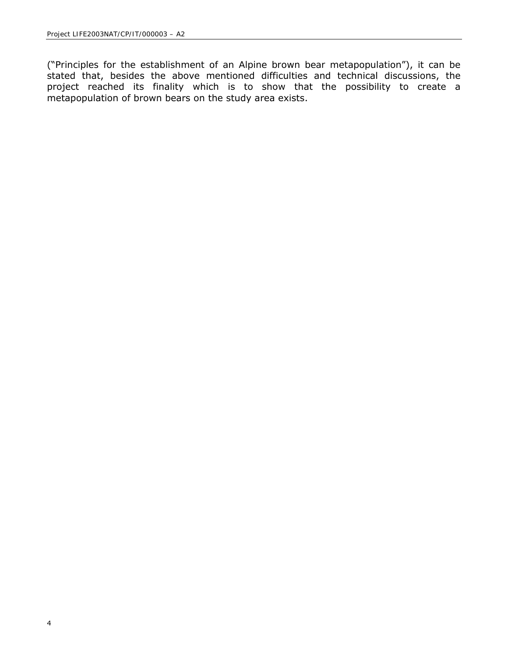("*Principles for the establishment of an Alpine brown bear metapopulation*"), it can be stated that, besides the above mentioned difficulties and technical discussions, the project reached its finality which is to show that the possibility to create a metapopulation of brown bears on the study area exists.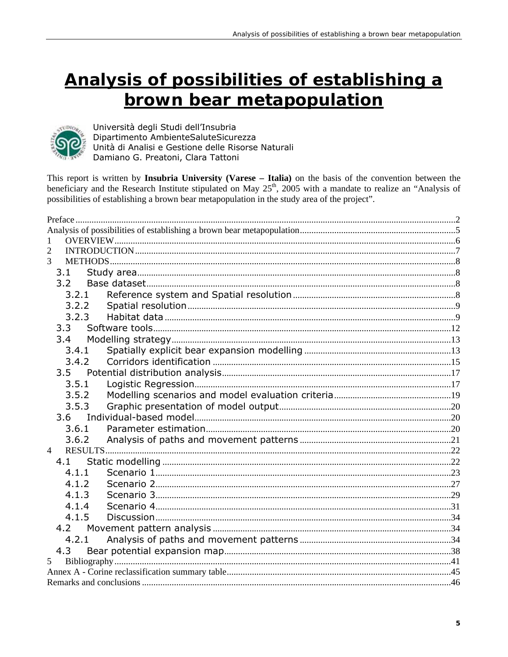# Analysis of possibilities of establishing a brown bear metapopulation



Università degli Studi dell'Insubria Dipartimento AmbienteSaluteSicurezza Unità di Analisi e Gestione delle Risorse Naturali Damiano G. Preatoni, Clara Tattoni

This report is written by Insubria University (Varese - Italia) on the basis of the convention between the beneficiary and the Research Institute stipulated on May 25<sup>th</sup>, 2005 with a mandate to realize an "Analysis of possibilities of establishing a brown bear metapopulation in the study area of the project".

| 1              |  |
|----------------|--|
| 2              |  |
| 3              |  |
| 3.1            |  |
| 3.2            |  |
| 3.2.1          |  |
| 3.2.2          |  |
| 3.2.3          |  |
| 3.3            |  |
| 3.4            |  |
| 3.4.1          |  |
| 3.4.2          |  |
|                |  |
| 3.5.1          |  |
| 3.5.2          |  |
| 3.5.3          |  |
| 3.6            |  |
| 3.6.1          |  |
| 3.6.2          |  |
| $\overline{4}$ |  |
| 4.1            |  |
| 4.1.1          |  |
| 4.1.2          |  |
| 4.1.3          |  |
| 4.1.4          |  |
| 4.1.5          |  |
| 4.2            |  |
| 4.2.1          |  |
| 4.3            |  |
| 5              |  |
|                |  |
|                |  |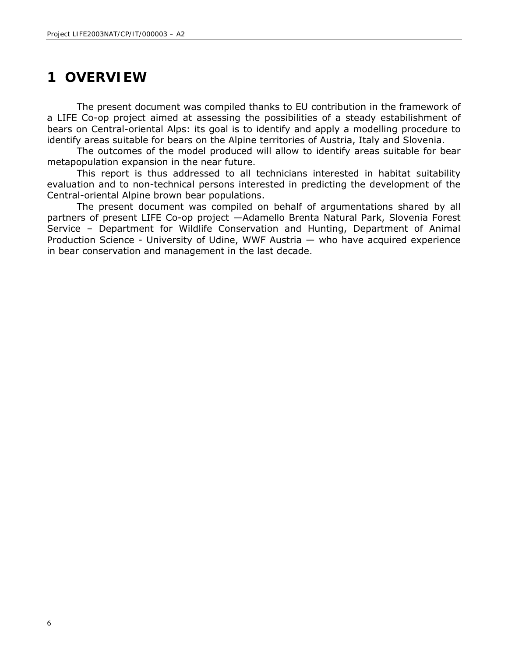## **1 OVERVIEW**

The present document was compiled thanks to EU contribution in the framework of a LIFE Co-op project aimed at assessing the possibilities of a steady estabilishment of bears on Central-oriental Alps: its goal is to identify and apply a modelling procedure to identify areas suitable for bears on the Alpine territories of Austria, Italy and Slovenia.

The outcomes of the model produced will allow to identify areas suitable for bear metapopulation expansion in the near future.

This report is thus addressed to all technicians interested in habitat suitability evaluation and to non-technical persons interested in predicting the development of the Central-oriental Alpine brown bear populations.

The present document was compiled on behalf of argumentations shared by all partners of present LIFE Co-op project —Adamello Brenta Natural Park, Slovenia Forest Service – Department for Wildlife Conservation and Hunting, Department of Animal Production Science - University of Udine, WWF Austria — who have acquired experience in bear conservation and management in the last decade.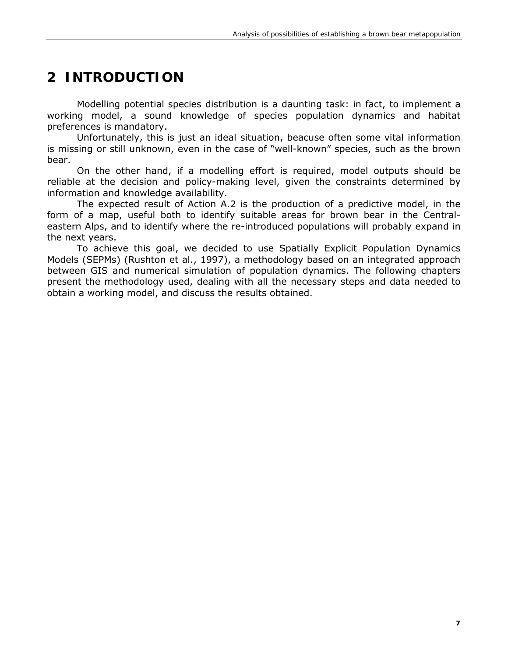## **2 INTRODUCTION**

Modelling potential species distribution is a daunting task: in fact, to implement a working model, a sound knowledge of species population dynamics and habitat preferences is mandatory.

Unfortunately, this is just an ideal situation, beacuse often some vital information is missing or still unknown, even in the case of "well-known" species, such as the brown bear.

On the other hand, if a modelling effort is required, model outputs should be reliable at the decision and policy-making level, given the constraints determined by information and knowledge availability.

The expected result of Action A.2 is the production of a predictive model, in the form of a map, useful both to identify suitable areas for brown bear in the Centraleastern Alps, and to identify where the re-introduced populations will probably expand in the next years.

To achieve this goal, we decided to use Spatially Explicit Population Dynamics Models (SEPMs) (Rushton et al., 1997), a methodology based on an integrated approach between GIS and numerical simulation of population dynamics. The following chapters present the methodology used, dealing with all the necessary steps and data needed to obtain a working model, and discuss the results obtained.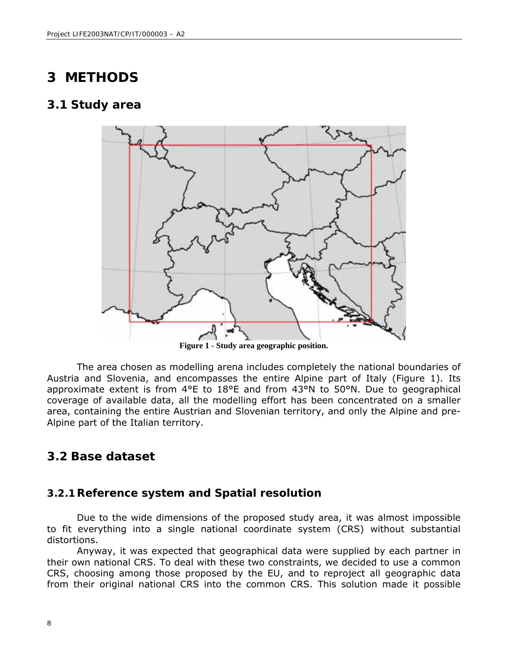## **3 METHODS**

#### **3.1 Study area**



**Figure 1 - Study area geographic position.** 

The area chosen as modelling arena includes completely the national boundaries of Austria and Slovenia, and encompasses the entire Alpine part of Italy (Figure 1). Its approximate extent is from 4°E to 18°E and from 43°N to 50°N. Due to geographical coverage of available data, all the modelling effort has been concentrated on a smaller area, containing the entire Austrian and Slovenian territory, and only the Alpine and pre-Alpine part of the Italian territory.

#### *3.2 Base dataset*

#### **3.2.1Reference system and Spatial resolution**

Due to the wide dimensions of the proposed study area, it was almost impossible to fit everything into a single national coordinate system (CRS) without substantial distortions.

Anyway, it was expected that geographical data were supplied by each partner in their own national CRS. To deal with these two constraints, we decided to use a common CRS, choosing among those proposed by the EU, and to reproject all geographic data from their original national CRS into the common CRS. This solution made it possible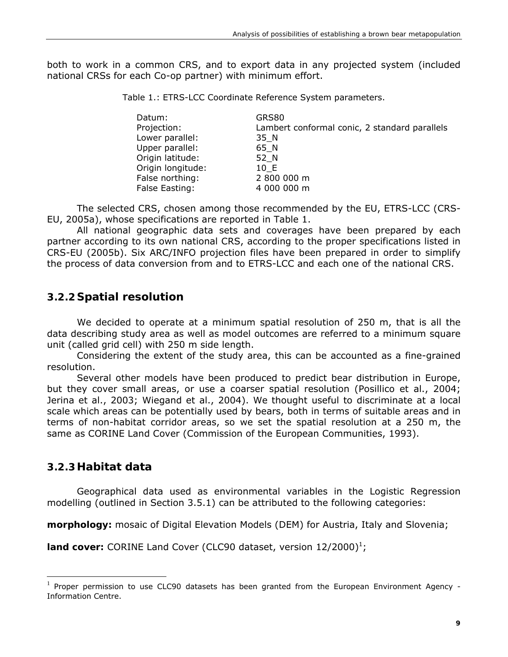both to work in a common CRS, and to export data in any projected system (included national CRSs for each Co-op partner) with minimum effort.

Table 1.: ETRS-LCC Coordinate Reference System parameters.

| Datum:            | GRS80                                         |
|-------------------|-----------------------------------------------|
| Projection:       | Lambert conformal conic, 2 standard parallels |
| Lower parallel:   | 35 N                                          |
| Upper parallel:   | 65 N                                          |
| Origin latitude:  | 52 N                                          |
| Origin longitude: | 10 E                                          |
| False northing:   | 2 800 000 m                                   |
| False Easting:    | 4 000 000 m                                   |

The selected CRS, chosen among those recommended by the EU, ETRS-LCC (CRS-EU, 2005a), whose specifications are reported in Table 1.

All national geographic data sets and coverages have been prepared by each partner according to its own national CRS, according to the proper specifications listed in CRS-EU (2005b). Six ARC/INFO projection files have been prepared in order to simplify the process of data conversion from and to ETRS-LCC and each one of the national CRS.

#### **3.2.2 Spatial resolution**

We decided to operate at a minimum spatial resolution of 250 m, that is all the data describing study area as well as model outcomes are referred to a minimum square unit (called grid cell) with 250 m side length.

Considering the extent of the study area, this can be accounted as a fine-grained resolution.

Several other models have been produced to predict bear distribution in Europe, but they cover small areas, or use a coarser spatial resolution (Posillico et al., 2004; Jerina et al., 2003; Wiegand et al., 2004). We thought useful to discriminate at a local scale which areas can be potentially used by bears, both in terms of suitable areas and in terms of non-habitat corridor areas, so we set the spatial resolution at a 250 m, the same as CORINE Land Cover (Commission of the European Communities, 1993).

#### **3.2.3Habitat data**

l

Geographical data used as environmental variables in the Logistic Regression modelling (outlined in Section 3.5.1) can be attributed to the following categories:

**morphology:** mosaic of Digital Elevation Models (DEM) for Austria, Italy and Slovenia;

**land cover:** CORINE Land Cover (CLC90 dataset, version 12/2000)<sup>1</sup>;

 $<sup>1</sup>$  Proper permission to use CLC90 datasets has been granted from the European Environment Agency -</sup> Information Centre.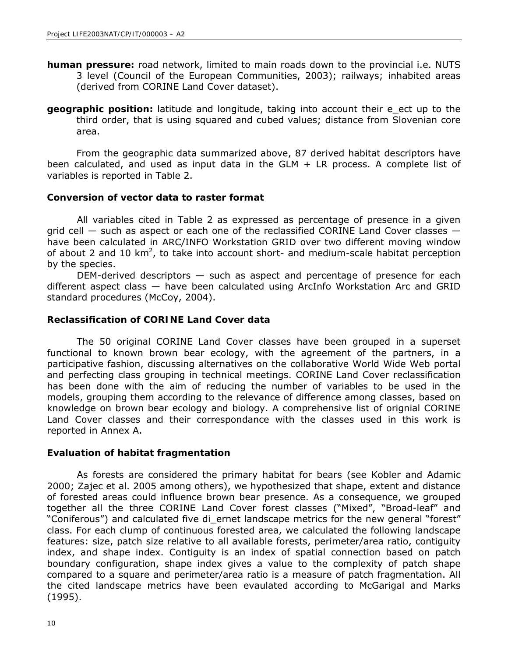- **human pressure:** road network, limited to main roads down to the provincial i.e. NUTS 3 level (Council of the European Communities, 2003); railways; inhabited areas (derived from CORINE Land Cover dataset).
- **geographic position:** latitude and longitude, taking into account their e\_ect up to the third order, that is using squared and cubed values; distance from Slovenian core area.

From the geographic data summarized above, 87 derived habitat descriptors have been calculated, and used as input data in the GLM + LR process. A complete list of variables is reported in Table 2.

#### **Conversion of vector data to raster format**

All variables cited in Table 2 as expressed as percentage of presence in a given grid cell — such as aspect or each one of the reclassified CORINE Land Cover classes have been calculated in ARC/INFO Workstation GRID over two different moving window of about 2 and 10  $km^2$ , to take into account short- and medium-scale habitat perception by the species.

DEM-derived descriptors — such as aspect and percentage of presence for each different aspect class — have been calculated using ArcInfo Workstation Arc and GRID standard procedures (McCoy, 2004).

#### **Reclassification of CORINE Land Cover data**

The 50 original CORINE Land Cover classes have been grouped in a superset functional to known brown bear ecology, with the agreement of the partners, in a participative fashion, discussing alternatives on the collaborative World Wide Web portal and perfecting class grouping in technical meetings. CORINE Land Cover reclassification has been done with the aim of reducing the number of variables to be used in the models, grouping them according to the relevance of difference among classes, based on knowledge on brown bear ecology and biology. A comprehensive list of orignial CORINE Land Cover classes and their correspondance with the classes used in this work is reported in Annex A.

#### **Evaluation of habitat fragmentation**

As forests are considered the primary habitat for bears (see Kobler and Adamic 2000; Zajec et al. 2005 among others), we hypothesized that shape, extent and distance of forested areas could influence brown bear presence. As a consequence, we grouped together all the three CORINE Land Cover forest classes ("Mixed", "Broad-leaf" and "Coniferous") and calculated five di\_ernet landscape metrics for the new general "forest" class. For each clump of continuous forested area, we calculated the following landscape features: size, patch size relative to all available forests, perimeter/area ratio, contiguity index, and shape index. Contiguity is an index of spatial connection based on patch boundary configuration, shape index gives a value to the complexity of patch shape compared to a square and perimeter/area ratio is a measure of patch fragmentation. All the cited landscape metrics have been evaulated according to McGarigal and Marks (1995).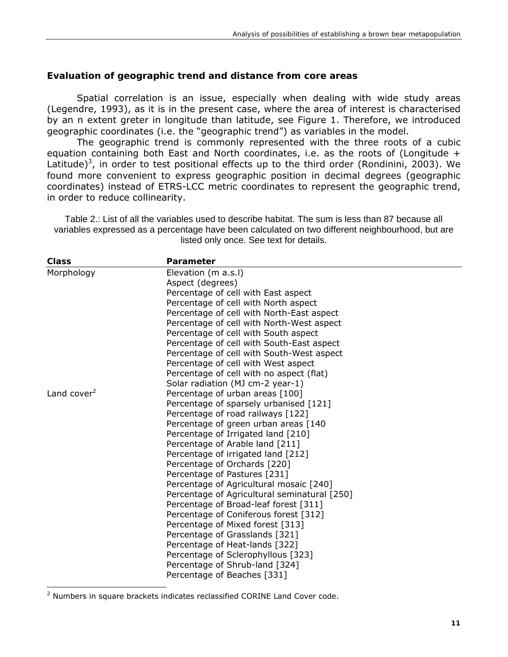#### **Evaluation of geographic trend and distance from core areas**

Spatial correlation is an issue, especially when dealing with wide study areas (Legendre, 1993), as it is in the present case, where the area of interest is characterised by an n extent greter in longitude than latitude, see Figure 1. Therefore, we introduced geographic coordinates (i.e. the "geographic trend") as variables in the model.

The geographic trend is commonly represented with the three roots of a cubic equation containing both East and North coordinates, i.e. as the roots of (*Longitude +*  Latitude)<sup>3</sup>, in order to test positional effects up to the third order (Rondinini, 2003). We found more convenient to express geographic position in decimal degrees (geographic coordinates) instead of ETRS-LCC metric coordinates to represent the geographic trend, in order to reduce collinearity.

Table 2.: List of all the variables used to describe habitat. The sum is less than 87 because all variables expressed as a percentage have been calculated on two different neighbourhood, but are listed only once. See text for details.

| <b>Class</b>   | Parameter                                    |  |  |  |
|----------------|----------------------------------------------|--|--|--|
| Morphology     | Elevation (m a.s.l)                          |  |  |  |
|                | Aspect (degrees)                             |  |  |  |
|                | Percentage of cell with East aspect          |  |  |  |
|                | Percentage of cell with North aspect         |  |  |  |
|                | Percentage of cell with North-East aspect    |  |  |  |
|                | Percentage of cell with North-West aspect    |  |  |  |
|                | Percentage of cell with South aspect         |  |  |  |
|                | Percentage of cell with South-East aspect    |  |  |  |
|                | Percentage of cell with South-West aspect    |  |  |  |
|                | Percentage of cell with West aspect          |  |  |  |
|                | Percentage of cell with no aspect (flat)     |  |  |  |
|                | Solar radiation (MJ cm-2 year-1)             |  |  |  |
| Land cover $2$ | Percentage of urban areas [100]              |  |  |  |
|                | Percentage of sparsely urbanised [121]       |  |  |  |
|                | Percentage of road railways [122]            |  |  |  |
|                | Percentage of green urban areas [140         |  |  |  |
|                | Percentage of Irrigated land [210]           |  |  |  |
|                | Percentage of Arable land [211]              |  |  |  |
|                | Percentage of irrigated land [212]           |  |  |  |
|                | Percentage of Orchards [220]                 |  |  |  |
|                | Percentage of Pastures [231]                 |  |  |  |
|                | Percentage of Agricultural mosaic [240]      |  |  |  |
|                | Percentage of Agricultural seminatural [250] |  |  |  |
|                | Percentage of Broad-leaf forest [311]        |  |  |  |
|                | Percentage of Coniferous forest [312]        |  |  |  |
|                | Percentage of Mixed forest [313]             |  |  |  |
|                | Percentage of Grasslands [321]               |  |  |  |
|                | Percentage of Heat-lands [322]               |  |  |  |
|                | Percentage of Sclerophyllous [323]           |  |  |  |
|                | Percentage of Shrub-land [324]               |  |  |  |
|                | Percentage of Beaches [331]                  |  |  |  |
|                |                                              |  |  |  |

<sup>&</sup>lt;sup>2</sup> Numbers in square brackets indicates reclassified CORINE Land Cover code.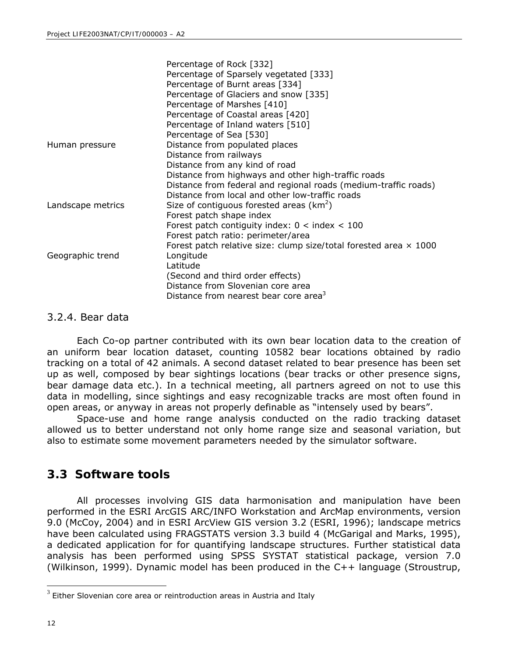|                   | Percentage of Rock [332]                                          |
|-------------------|-------------------------------------------------------------------|
|                   | Percentage of Sparsely vegetated [333]                            |
|                   | Percentage of Burnt areas [334]                                   |
|                   | Percentage of Glaciers and snow [335]                             |
|                   | Percentage of Marshes [410]                                       |
|                   | Percentage of Coastal areas [420]                                 |
|                   | Percentage of Inland waters [510]                                 |
|                   | Percentage of Sea [530]                                           |
| Human pressure    | Distance from populated places                                    |
|                   | Distance from railways                                            |
|                   | Distance from any kind of road                                    |
|                   | Distance from highways and other high-traffic roads               |
|                   | Distance from federal and regional roads (medium-traffic roads)   |
|                   | Distance from local and other low-traffic roads                   |
| Landscape metrics | Size of contiguous forested areas ( $km^2$ )                      |
|                   | Forest patch shape index                                          |
|                   | Forest patch contiguity index: $0 <$ index < 100                  |
|                   | Forest patch ratio: perimeter/area                                |
|                   | Forest patch relative size: clump size/total forested area x 1000 |
| Geographic trend  | Longitude                                                         |
|                   | Latitude                                                          |
|                   | (Second and third order effects)                                  |
|                   | Distance from Slovenian core area                                 |
|                   | Distance from nearest bear core area <sup>3</sup>                 |

#### 3.2.4. Bear data

Each Co-op partner contributed with its own bear location data to the creation of an uniform bear location dataset, counting 10582 bear locations obtained by radio tracking on a total of 42 animals. A second dataset related to bear presence has been set up as well, composed by bear sightings locations (bear tracks or other presence signs, bear damage data etc.). In a technical meeting, all partners agreed on not to use this data in modelling, since sightings and easy recognizable tracks are most often found in open areas, or anyway in areas not properly definable as "intensely used by bears".

Space-use and home range analysis conducted on the radio tracking dataset allowed us to better understand not only home range size and seasonal variation, but also to estimate some movement parameters needed by the simulator software.

### **3.3 Software tools**

All processes involving GIS data harmonisation and manipulation have been performed in the ESRI ArcGIS ARC/INFO Workstation and ArcMap environments, version 9.0 (McCoy, 2004) and in ESRI ArcView GIS version 3.2 (ESRI, 1996); landscape metrics have been calculated using FRAGSTATS version 3.3 build 4 (McGarigal and Marks, 1995), a dedicated application for for quantifying landscape structures. Further statistical data analysis has been performed using SPSS SYSTAT statistical package, version 7.0 (Wilkinson, 1999). Dynamic model has been produced in the C++ language (Stroustrup,

l

 $3$  Either Slovenian core area or reintroduction areas in Austria and Italy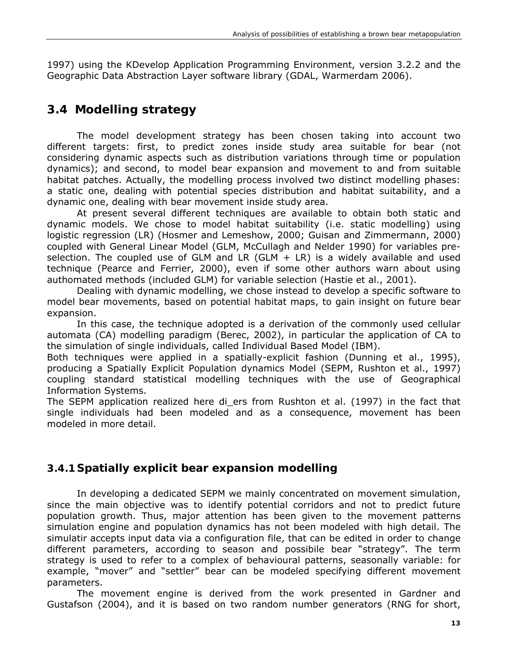1997) using the KDevelop Application Programming Environment, version 3.2.2 and the Geographic Data Abstraction Layer software library (GDAL, Warmerdam 2006).

### **3.4 Modelling strategy**

The model development strategy has been chosen taking into account two different targets: first, to predict zones inside study area suitable for bear (not considering dynamic aspects such as distribution variations through time or population dynamics); and second, to model bear expansion and movement to and from suitable habitat patches. Actually, the modelling process involved two distinct modelling phases: a static one, dealing with potential species distribution and habitat suitability, and a dynamic one, dealing with bear movement inside study area.

At present several different techniques are available to obtain both static and dynamic models. We chose to model habitat suitability (i.e. static modelling) using logistic regression (LR) (Hosmer and Lemeshow, 2000; Guisan and Zimmermann, 2000) coupled with General Linear Model (GLM, McCullagh and Nelder 1990) for variables preselection. The coupled use of GLM and LR  $(GLM + LR)$  is a widely available and used technique (Pearce and Ferrier, 2000), even if some other authors warn about using authomated methods (included GLM) for variable selection (Hastie et al., 2001).

Dealing with dynamic modelling, we chose instead to develop a specific software to model bear movements, based on potential habitat maps, to gain insight on future bear expansion.

In this case, the technique adopted is a derivation of the commonly used cellular automata (CA) modelling paradigm (Berec, 2002), in particular the application of CA to the simulation of single individuals, called Individual Based Model (IBM).

Both techniques were applied in a spatially-explicit fashion (Dunning et al., 1995), producing a Spatially Explicit Population dynamics Model (SEPM, Rushton et al., 1997) coupling standard statistical modelling techniques with the use of Geographical Information Systems.

The SEPM application realized here di ers from Rushton et al. (1997) in the fact that single individuals had been modeled and as a consequence, movement has been modeled in more detail.

### **3.4.1 Spatially explicit bear expansion modelling**

In developing a dedicated SEPM we mainly concentrated on movement simulation, since the main objective was to identify potential corridors and not to predict future population growth. Thus, major attention has been given to the movement patterns simulation engine and population dynamics has not been modeled with high detail. The simulatir accepts input data via a configuration file, that can be edited in order to change different parameters, according to season and possibile bear "strategy". The term strategy is used to refer to a complex of behavioural patterns, seasonally variable: for example, "mover" and "settler" bear can be modeled specifying different movement parameters.

The movement engine is derived from the work presented in Gardner and Gustafson (2004), and it is based on two random number generators (RNG for short,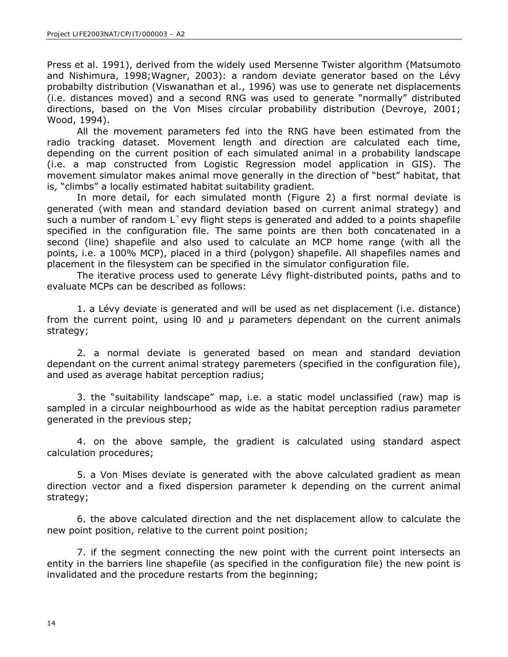Press et al. 1991), derived from the widely used Mersenne Twister algorithm (Matsumoto and Nishimura, 1998;Wagner, 2003): a random deviate generator based on the Lévy probabilty distribution (Viswanathan et al., 1996) was use to generate net displacements (i.e. distances moved) and a second RNG was used to generate "normally" distributed directions, based on the Von Mises circular probability distribution (Devroye, 2001; Wood, 1994).

All the movement parameters fed into the RNG have been estimated from the radio tracking dataset. Movement length and direction are calculated each time, depending on the current position of each simulated animal in a probability landscape (i.e. a map constructed from Logistic Regression model application in GIS). The movement simulator makes animal move generally in the direction of "best" habitat, that is, "climbs" a locally estimated habitat suitability gradient.

In more detail, for each simulated month (Figure 2) a first normal deviate is generated (with mean and standard deviation based on current animal strategy) and such a number of random L'evy flight steps is generated and added to a points shapefile specified in the configuration file. The same points are then both concatenated in a second (line) shapefile and also used to calculate an MCP home range (with all the points, i.e. a 100% MCP), placed in a third (polygon) shapefile. All shapefiles names and placement in the filesystem can be specified in the simulator configuration file.

The iterative process used to generate Lévy flight-distributed points, paths and to evaluate MCPs can be described as follows:

1. a Lévy deviate is generated and will be used as net displacement (i.e. distance) from the current point, using I0 and  $\mu$  parameters dependant on the current animals strategy;

2. a normal deviate is generated based on mean and standard deviation dependant on the current animal strategy paremeters (specified in the configuration file), and used as average habitat perception radius;

3. the "suitability landscape" map, i.e. a static model unclassified (raw) map is sampled in a circular neighbourhood as wide as the habitat perception radius parameter generated in the previous step;

4. on the above sample, the gradient is calculated using standard aspect calculation procedures;

5. a Von Mises deviate is generated with the above calculated gradient as mean direction vector and a fixed dispersion parameter k depending on the current animal strategy;

6. the above calculated direction and the net displacement allow to calculate the new point position, relative to the current point position;

7. if the segment connecting the new point with the current point intersects an entity in the barriers line shapefile (as specified in the configuration file) the new point is invalidated and the procedure restarts from the beginning;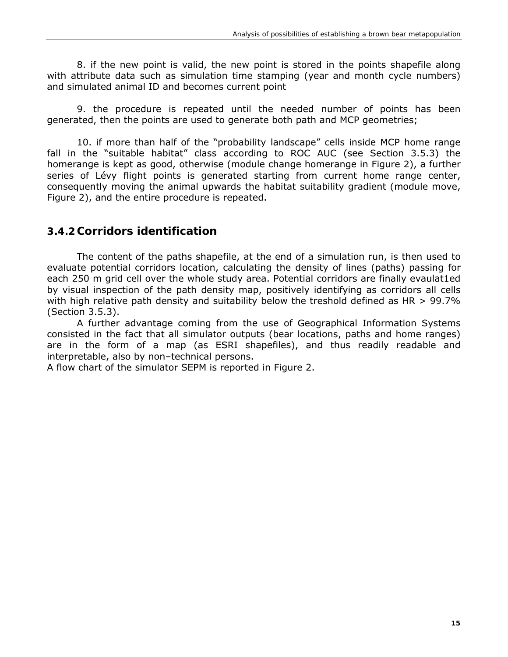8. if the new point is valid, the new point is stored in the points shapefile along with attribute data such as simulation time stamping (year and month cycle numbers) and simulated animal ID and becomes current point

9. the procedure is repeated until the needed number of points has been generated, then the points are used to generate both path and MCP geometries;

10. if more than half of the "probability landscape" cells inside MCP home range fall in the "suitable habitat" class according to ROC AUC (see Section 3.5.3) the homerange is kept as good, otherwise (module change homerange in Figure 2), a further series of Lévy flight points is generated starting from current home range center, consequently moving the animal upwards the habitat suitability gradient (module move, Figure 2), and the entire procedure is repeated.

#### **3.4.2Corridors identification**

The content of the paths shapefile, at the end of a simulation run, is then used to evaluate potential corridors location, calculating the density of lines (paths) passing for each 250 m grid cell over the whole study area. Potential corridors are finally evaulat1ed by visual inspection of the path density map, positively identifying as corridors all cells with high relative path density and suitability below the treshold defined as HR  $>$  99.7% (Section 3.5.3).

A further advantage coming from the use of Geographical Information Systems consisted in the fact that all simulator outputs (bear locations, paths and home ranges) are in the form of a map (as ESRI shapefiles), and thus readily readable and interpretable, also by non–technical persons.

A flow chart of the simulator SEPM is reported in Figure 2.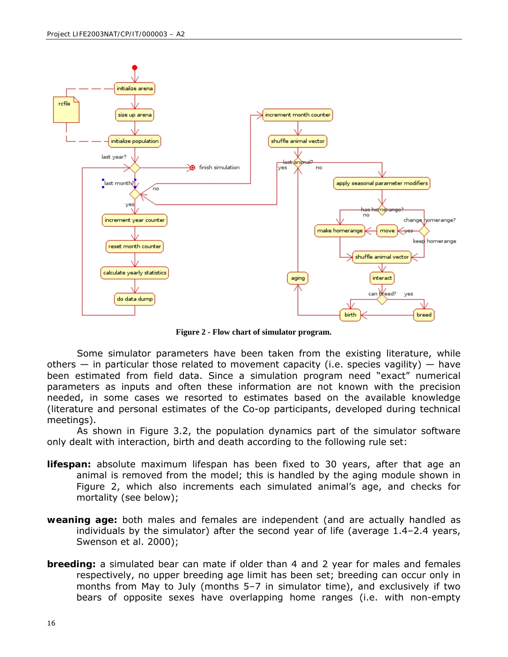

**Figure 2 - Flow chart of simulator program.**

Some simulator parameters have been taken from the existing literature, while others  $-$  in particular those related to movement capacity (i.e. species vagility)  $-$  have been estimated from field data. Since a simulation program need "exact" numerical parameters as inputs and often these information are not known with the precision needed, in some cases we resorted to estimates based on the available knowledge (literature and personal estimates of the Co-op participants, developed during technical meetings).

As shown in Figure 3.2, the population dynamics part of the simulator software only dealt with interaction, birth and death according to the following rule set:

- **lifespan:** absolute maximum lifespan has been fixed to 30 years, after that age an animal is removed from the model; this is handled by the aging module shown in Figure 2, which also increments each simulated animal's age, and checks for mortality (see below);
- **weaning age:** both males and females are independent (and are actually handled as individuals by the simulator) after the second year of life (average 1.4–2.4 years, Swenson et al. 2000);
- **breeding:** a simulated bear can mate if older than 4 and 2 year for males and females respectively, no upper breeding age limit has been set; breeding can occur only in months from May to July (months 5–7 in simulator time), and exclusively if two bears of opposite sexes have overlapping home ranges (i.e. with non-empty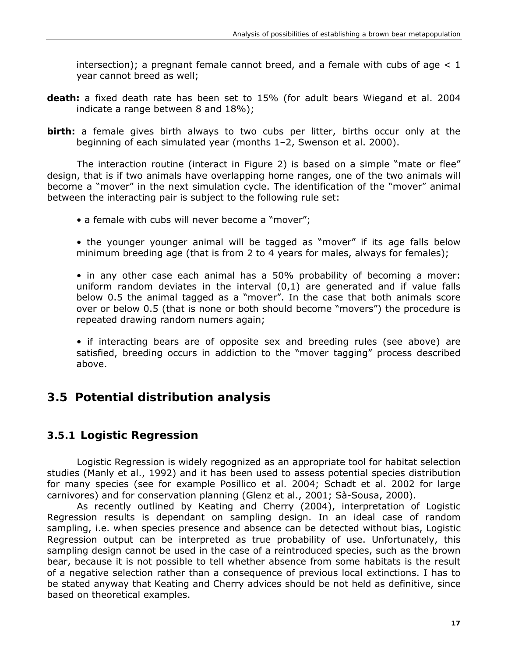intersection); a pregnant female cannot breed, and a female with cubs of age  $< 1$ year cannot breed as well;

- **death:** a fixed death rate has been set to 15% (for adult bears Wiegand et al. 2004 indicate a range between 8 and 18%);
- **birth:** a female gives birth always to two cubs per litter, births occur only at the beginning of each simulated year (months 1–2, Swenson et al. 2000).

The interaction routine (interact in Figure 2) is based on a simple "mate or flee" design, that is if two animals have overlapping home ranges, one of the two animals will become a "mover" in the next simulation cycle. The identification of the "mover" animal between the interacting pair is subject to the following rule set:

- a female with cubs will never become a "mover";
- the younger younger animal will be tagged as "mover" if its age falls below minimum breeding age (that is from 2 to 4 years for males, always for females);

• in any other case each animal has a 50% probability of becoming a mover: uniform random deviates in the interval (0,1) are generated and if value falls below 0.5 the animal tagged as a "mover". In the case that both animals score over or below 0.5 (that is none or both should become "movers") the procedure is repeated drawing random numers again;

• if interacting bears are of opposite sex and breeding rules (see above) are satisfied, breeding occurs in addiction to the "mover tagging" process described above.

### **3.5 Potential distribution analysis**

#### **3.5.1 Logistic Regression**

Logistic Regression is widely regognized as an appropriate tool for habitat selection studies (Manly et al., 1992) and it has been used to assess potential species distribution for many species (see for example Posillico et al. 2004; Schadt et al. 2002 for large carnivores) and for conservation planning (Glenz et al., 2001; Sà-Sousa, 2000).

As recently outlined by Keating and Cherry (2004), interpretation of Logistic Regression results is dependant on sampling design. In an ideal case of random sampling, i.e. when species presence and absence can be detected without bias, Logistic Regression output can be interpreted as true probability of use. Unfortunately, this sampling design cannot be used in the case of a reintroduced species, such as the brown bear, because it is not possible to tell whether absence from some habitats is the result of a negative selection rather than a consequence of previous local extinctions. I has to be stated anyway that Keating and Cherry advices should be not held as definitive, since based on theoretical examples.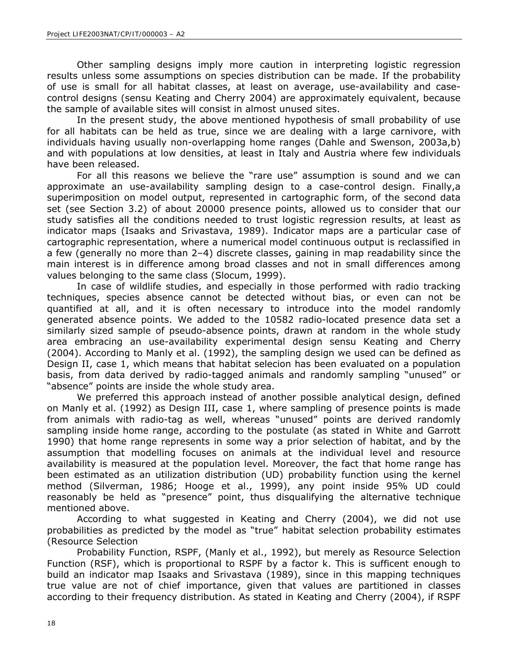Other sampling designs imply more caution in interpreting logistic regression results unless some assumptions on species distribution can be made. If the probability of use is small for all habitat classes, at least on average, use-availability and casecontrol designs (sensu Keating and Cherry 2004) are approximately equivalent, because the sample of available sites will consist in almost unused sites.

In the present study, the above mentioned hypothesis of small probability of use for all habitats can be held as true, since we are dealing with a large carnivore, with individuals having usually non-overlapping home ranges (Dahle and Swenson, 2003a,b) and with populations at low densities, at least in Italy and Austria where few individuals have been released.

For all this reasons we believe the "rare use" assumption is sound and we can approximate an use-availability sampling design to a case-control design. Finally,a superimposition on model output, represented in cartographic form, of the second data set (see Section 3.2) of about 20000 presence points, allowed us to consider that our study satisfies all the conditions needed to trust logistic regression results, at least as indicator maps (Isaaks and Srivastava, 1989). Indicator maps are a particular case of cartographic representation, where a numerical model continuous output is reclassified in a few (generally no more than 2–4) discrete classes, gaining in map readability since the main interest is in difference among broad classes and not in small differences among values belonging to the same class (Slocum, 1999).

In case of wildlife studies, and especially in those performed with radio tracking techniques, species absence cannot be detected without bias, or even can not be quantified at all, and it is often necessary to introduce into the model randomly generated absence points. We added to the 10582 radio-located presence data set a similarly sized sample of pseudo-absence points, drawn at random in the whole study area embracing an use-availability experimental design sensu Keating and Cherry (2004). According to Manly et al. (1992), the sampling design we used can be defined as Design II, case 1, which means that habitat selecion has been evaluated on a population basis, from data derived by radio-tagged animals and randomly sampling "unused" or "absence" points are inside the whole study area.

We preferred this approach instead of another possible analytical design, defined on Manly et al. (1992) as Design III, case 1, where sampling of presence points is made from animals with radio-tag as well, whereas "unused" points are derived randomly sampling inside home range, according to the postulate (as stated in White and Garrott 1990) that home range represents in some way a prior selection of habitat, and by the assumption that modelling focuses on animals at the individual level and resource availability is measured at the population level. Moreover, the fact that home range has been estimated as an utilization distribution (UD) probability function using the kernel method (Silverman, 1986; Hooge et al., 1999), any point inside 95% UD could reasonably be held as "presence" point, thus disqualifying the alternative technique mentioned above.

According to what suggested in Keating and Cherry (2004), we did not use probabilities as predicted by the model as "true" habitat selection probability estimates (Resource Selection

Probability Function, RSPF, (Manly et al., 1992), but merely as Resource Selection Function (RSF), which is proportional to RSPF by a factor k. This is sufficent enough to build an indicator map Isaaks and Srivastava (1989), since in this mapping techniques true value are not of chief importance, given that values are partitioned in classes according to their frequency distribution. As stated in Keating and Cherry (2004), if RSPF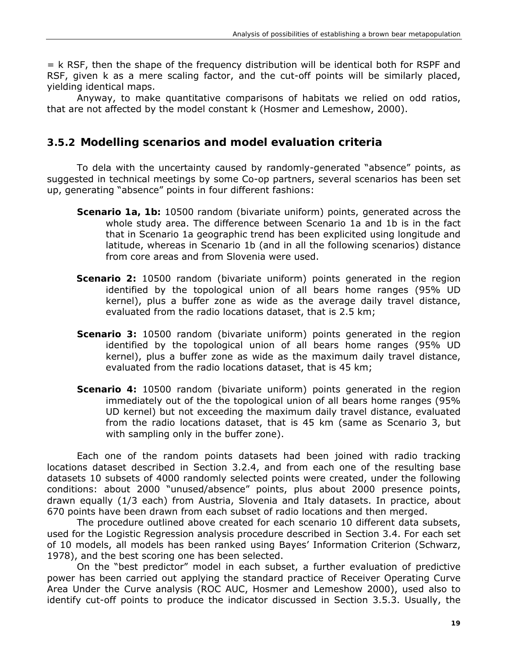= k RSF, then the shape of the frequency distribution will be identical both for RSPF and RSF, given k as a mere scaling factor, and the cut-off points will be similarly placed, yielding identical maps.

Anyway, to make quantitative comparisons of habitats we relied on odd ratios, that are not affected by the model constant k (Hosmer and Lemeshow, 2000).

#### **3.5.2 Modelling scenarios and model evaluation criteria**

To dela with the uncertainty caused by randomly-generated "absence" points, as suggested in technical meetings by some Co-op partners, several scenarios has been set up, generating "absence" points in four different fashions:

- **Scenario 1a, 1b:** 10500 random (bivariate uniform) points, generated across the whole study area. The difference between Scenario 1a and 1b is in the fact that in Scenario 1a geographic trend has been explicited using longitude and latitude, whereas in Scenario 1b (and in all the following scenarios) distance from core areas and from Slovenia were used.
- **Scenario 2:** 10500 random (bivariate uniform) points generated in the region identified by the topological union of all bears home ranges (95% UD kernel), plus a buffer zone as wide as the average daily travel distance, evaluated from the radio locations dataset, that is 2.5 km;
- **Scenario 3:** 10500 random (bivariate uniform) points generated in the region identified by the topological union of all bears home ranges (95% UD kernel), plus a buffer zone as wide as the maximum daily travel distance, evaluated from the radio locations dataset, that is 45 km;
- **Scenario 4:** 10500 random (bivariate uniform) points generated in the region immediately out of the the topological union of all bears home ranges (95% UD kernel) but not exceeding the maximum daily travel distance, evaluated from the radio locations dataset, that is 45 km (same as Scenario 3, but with sampling only in the buffer zone).

Each one of the random points datasets had been joined with radio tracking locations dataset described in Section 3.2.4, and from each one of the resulting base datasets 10 subsets of 4000 randomly selected points were created, under the following conditions: about 2000 "unused/absence" points, plus about 2000 presence points, drawn equally (1/3 each) from Austria, Slovenia and Italy datasets. In practice, about 670 points have been drawn from each subset of radio locations and then merged.

The procedure outlined above created for each scenario 10 different data subsets, used for the Logistic Regression analysis procedure described in Section 3.4. For each set of 10 models, all models has been ranked using Bayes' Information Criterion (Schwarz, 1978), and the best scoring one has been selected.

On the "best predictor" model in each subset, a further evaluation of predictive power has been carried out applying the standard practice of Receiver Operating Curve Area Under the Curve analysis (ROC AUC, Hosmer and Lemeshow 2000), used also to identify cut-off points to produce the indicator discussed in Section 3.5.3. Usually, the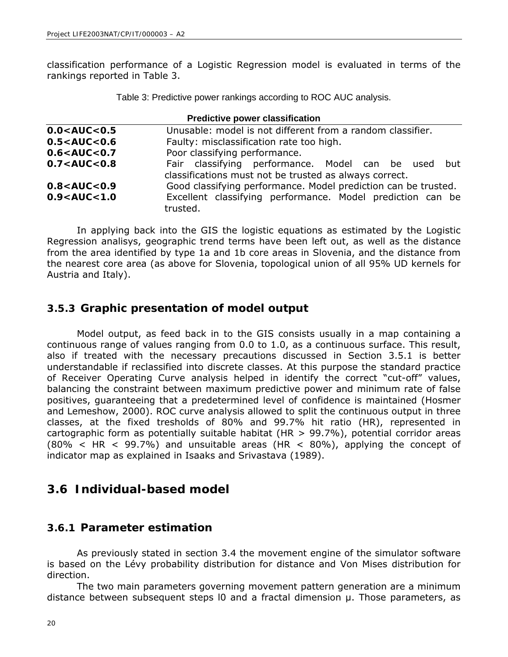classification performance of a Logistic Regression model is evaluated in terms of the rankings reported in Table 3.

Table 3: Predictive power rankings according to ROC AUC analysis.

| <b>Predictive power classification</b> |                                                                                                               |  |  |  |
|----------------------------------------|---------------------------------------------------------------------------------------------------------------|--|--|--|
| 0.0 < AUC < 0.5                        | Unusable: model is not different from a random classifier.                                                    |  |  |  |
| 0.5 < AUC < 0.6                        | Faulty: misclassification rate too high.                                                                      |  |  |  |
| 0.6 < AUC < 0.7                        | Poor classifying performance.                                                                                 |  |  |  |
| 0.7 < AUC < 0.8                        | Fair classifying performance. Model can be used but<br>classifications must not be trusted as always correct. |  |  |  |
| 0.8 < AUC < 0.9                        | Good classifying performance. Model prediction can be trusted.                                                |  |  |  |
| 0.9 < AUC < 1.0                        | Excellent classifying performance. Model prediction can be<br>trusted.                                        |  |  |  |

In applying back into the GIS the logistic equations as estimated by the Logistic Regression analisys, geographic trend terms have been left out, as well as the distance from the area identified by type 1a and 1b core areas in Slovenia, and the distance from the nearest core area (as above for Slovenia, topological union of all 95% UD kernels for Austria and Italy).

#### **3.5.3 Graphic presentation of model output**

Model output, as feed back in to the GIS consists usually in a map containing a continuous range of values ranging from 0.0 to 1.0, as a continuous surface. This result, also if treated with the necessary precautions discussed in Section 3.5.1 is better understandable if reclassified into discrete classes. At this purpose the standard practice of Receiver Operating Curve analysis helped in identify the correct "cut-off" values, balancing the constraint between maximum predictive power and minimum rate of false positives, guaranteeing that a predetermined level of confidence is maintained (Hosmer and Lemeshow, 2000). ROC curve analysis allowed to split the continuous output in three classes, at the fixed tresholds of 80% and 99.7% hit ratio (HR), represented in cartographic form as potentially suitable habitat (HR  $>$  99.7%), potential corridor areas  $(80\% < HR < 99.7\%)$  and unsuitable areas (HR < 80%), applying the concept of indicator map as explained in Isaaks and Srivastava (1989).

### **3.6 Individual-based model**

#### **3.6.1 Parameter estimation**

As previously stated in section 3.4 the movement engine of the simulator software is based on the Lévy probability distribution for distance and Von Mises distribution for direction.

The two main parameters governing movement pattern generation are a minimum distance between subsequent steps l0 and a fractal dimension µ. Those parameters, as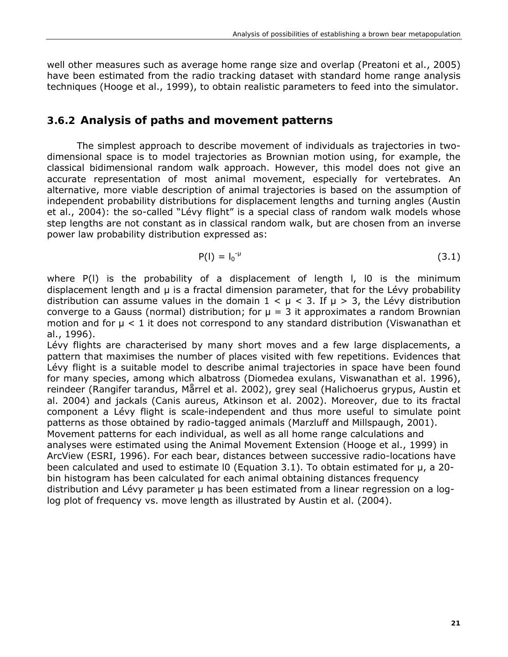well other measures such as average home range size and overlap (Preatoni et al., 2005) have been estimated from the radio tracking dataset with standard home range analysis techniques (Hooge et al., 1999), to obtain realistic parameters to feed into the simulator.

### **3.6.2 Analysis of paths and movement patterns**

The simplest approach to describe movement of individuals as trajectories in twodimensional space is to model trajectories as Brownian motion using, for example, the classical bidimensional random walk approach. However, this model does not give an accurate representation of most animal movement, especially for vertebrates. An alternative, more viable description of animal trajectories is based on the assumption of independent probability distributions for displacement lengths and turning angles (Austin et al., 2004): the so-called "Lévy flight" is a special class of random walk models whose step lengths are not constant as in classical random walk, but are chosen from an inverse power law probability distribution expressed as:

$$
P(I) = I_0^{-\mu} \tag{3.1}
$$

where P(l) is the probability of a displacement of length l, l0 is the minimum displacement length and µ is a fractal dimension parameter, that for the Lévy probability distribution can assume values in the domain  $1 < \mu < 3$ . If  $\mu > 3$ , the Lévy distribution converge to a Gauss (normal) distribution; for  $\mu = 3$  it approximates a random Brownian motion and for  $\mu$  < 1 it does not correspond to any standard distribution (Viswanathan et al., 1996).

Lévy flights are characterised by many short moves and a few large displacements, a pattern that maximises the number of places visited with few repetitions. Evidences that Lévy flight is a suitable model to describe animal trajectories in space have been found for many species, among which albatross (*Diomedea exulans*, Viswanathan et al. 1996), reindeer (*Rangifer tarandus*, Mårrel et al. 2002), grey seal (*Halichoerus grypus*, Austin et al. 2004) and jackals (*Canis aureus*, Atkinson et al. 2002). Moreover, due to its fractal component a Lévy flight is scale-independent and thus more useful to simulate point patterns as those obtained by radio-tagged animals (Marzluff and Millspaugh, 2001). Movement patterns for each individual, as well as all home range calculations and analyses were estimated using the Animal Movement Extension (Hooge et al., 1999) in ArcView (ESRI, 1996). For each bear, distances between successive radio-locations have been calculated and used to estimate  $10$  (Equation 3.1). To obtain estimated for  $\mu$ , a 20bin histogram has been calculated for each animal obtaining distances frequency distribution and Lévy parameter µ has been estimated from a linear regression on a loglog plot of frequency vs. move length as illustrated by Austin et al. (2004).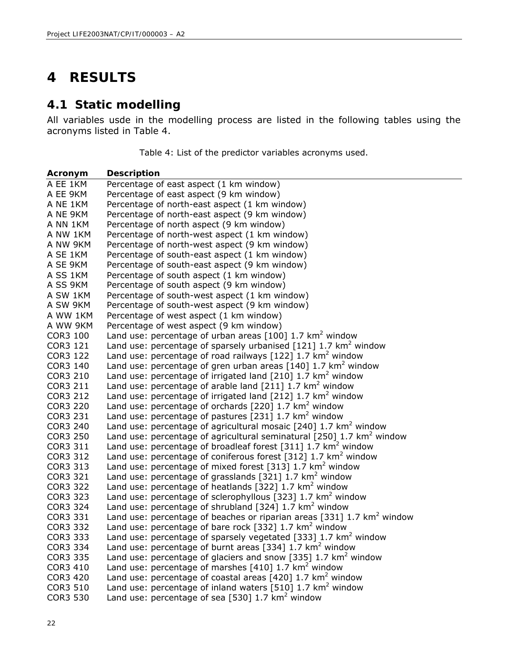## **4 RESULTS**

### **4.1 Static modelling**

All variables usde in the modelling process are listed in the following tables using the acronyms listed in Table 4.

Table 4: List of the predictor variables acronyms used.

| Acronym              | <b>Description</b>                                                                                                                                |
|----------------------|---------------------------------------------------------------------------------------------------------------------------------------------------|
| A EE 1KM             | Percentage of east aspect (1 km window)                                                                                                           |
| A EE 9KM             | Percentage of east aspect (9 km window)                                                                                                           |
| A NE 1KM             | Percentage of north-east aspect (1 km window)                                                                                                     |
| A NE 9KM             | Percentage of north-east aspect (9 km window)                                                                                                     |
| A NN 1KM             | Percentage of north aspect (9 km window)                                                                                                          |
| A NW 1KM             | Percentage of north-west aspect (1 km window)                                                                                                     |
| A NW 9KM             | Percentage of north-west aspect (9 km window)                                                                                                     |
| A SE 1KM             | Percentage of south-east aspect (1 km window)                                                                                                     |
| A SE 9KM             | Percentage of south-east aspect (9 km window)                                                                                                     |
| A SS 1KM             | Percentage of south aspect (1 km window)                                                                                                          |
| A SS 9KM             | Percentage of south aspect (9 km window)                                                                                                          |
| A SW 1KM             | Percentage of south-west aspect (1 km window)                                                                                                     |
| A SW 9KM             | Percentage of south-west aspect (9 km window)                                                                                                     |
| A WW 1KM             | Percentage of west aspect (1 km window)                                                                                                           |
| A WW 9KM             | Percentage of west aspect (9 km window)                                                                                                           |
| <b>COR3 100</b>      | Land use: percentage of urban areas $[100]$ 1.7 km <sup>2</sup> window                                                                            |
| COR3 121             | Land use: percentage of sparsely urbanised [121] 1.7 km <sup>2</sup> window                                                                       |
| COR3 122             | Land use: percentage of road railways $[122]$ 1.7 km <sup>2</sup> window                                                                          |
| COR3 140             | Land use: percentage of gren urban areas $[140]$ 1.7 km <sup>2</sup> window                                                                       |
| COR3 210             | Land use: percentage of irrigated land $[210]$ 1.7 km <sup>2</sup> window                                                                         |
| COR3 211             | Land use: percentage of arable land $[211]$ 1.7 km <sup>2</sup> window                                                                            |
| COR3 212             | Land use: percentage of irrigated land $[212]$ 1.7 km <sup>2</sup> window                                                                         |
| <b>COR3 220</b>      | Land use: percentage of orchards [220] 1.7 km <sup>2</sup> window                                                                                 |
| COR3 231             | Land use: percentage of pastures [231] $1.7 \text{ km}^2$ window                                                                                  |
| COR3 240             | Land use: percentage of agricultural mosaic $[240]$ 1.7 km <sup>2</sup> window                                                                    |
| <b>COR3 250</b>      | Land use: percentage of agricultural seminatural [250] 1.7 km <sup>2</sup> window                                                                 |
| COR3 311             | Land use: percentage of broadleaf forest [311] $1.7 \text{ km}^2$ window                                                                          |
| COR3 312             | Land use: percentage of coniferous forest [312] 1.7 km <sup>2</sup> window                                                                        |
| COR3 313             | Land use: percentage of mixed forest [313] 1.7 km <sup>2</sup> window                                                                             |
| COR3 321             | Land use: percentage of grasslands [321] 1.7 km <sup>2</sup> window                                                                               |
| COR3 322             | Land use: percentage of heatlands [322] $1.7 \text{ km}^2$ window                                                                                 |
| COR3 323             | Land use: percentage of sclerophyllous [323] $1.7 \text{ km}^2$ window                                                                            |
| COR3 324             | Land use: percentage of shrubland $[324]$ 1.7 km <sup>2</sup> window                                                                              |
| COR3 331<br>COR3 332 | Land use: percentage of beaches or riparian areas [331] 1.7 $km^2$ window<br>Land use: percentage of bare rock $[332]$ 1.7 km <sup>2</sup> window |
| COR3 333             | Land use: percentage of sparsely vegetated [333] 1.7 km <sup>2</sup> window                                                                       |
| COR3 334             | Land use: percentage of burnt areas [334] $1.7 \text{ km}^2$ window                                                                               |
| COR3 335             | Land use: percentage of glaciers and snow [335] 1.7 km <sup>2</sup> window                                                                        |
| COR3 410             | Land use: percentage of marshes [410] 1.7 km <sup>2</sup> window                                                                                  |
| COR3 420             | Land use: percentage of coastal areas $[420]$ 1.7 km <sup>2</sup> window                                                                          |
| COR3 510             | Land use: percentage of inland waters [510] 1.7 km <sup>2</sup> window                                                                            |
| COR3 530             | Land use: percentage of sea [530] $1.7 \text{ km}^2$ window                                                                                       |
|                      |                                                                                                                                                   |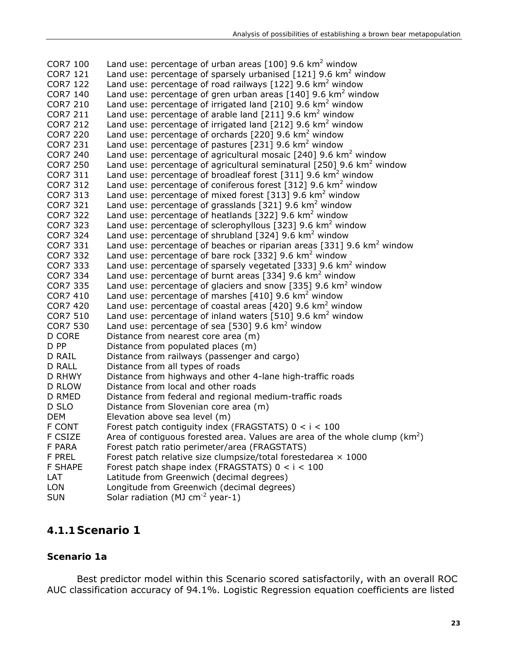| <b>COR7 100</b> | Land use: percentage of urban areas $[100]$ 9.6 km <sup>2</sup> window            |
|-----------------|-----------------------------------------------------------------------------------|
| <b>COR7 121</b> | Land use: percentage of sparsely urbanised [121] 9.6 km <sup>2</sup> window       |
| <b>COR7 122</b> | Land use: percentage of road railways [122] 9.6 km <sup>2</sup> window            |
| <b>COR7 140</b> | Land use: percentage of gren urban areas $[140]$ 9.6 km <sup>2</sup> window       |
| <b>COR7 210</b> | Land use: percentage of irrigated land $[210]$ 9.6 km <sup>2</sup> window         |
| <b>COR7 211</b> | Land use: percentage of arable land $[211]$ 9.6 km <sup>2</sup> window            |
| <b>COR7 212</b> | Land use: percentage of irrigated land $[212]$ 9.6 km <sup>2</sup> window         |
| <b>COR7 220</b> | Land use: percentage of orchards $[220]$ 9.6 km <sup>2</sup> window               |
| <b>COR7 231</b> | Land use: percentage of pastures [231] 9.6 $km^2$ window                          |
| <b>COR7 240</b> | Land use: percentage of agricultural mosaic $[240]$ 9.6 km <sup>2</sup> window    |
| <b>COR7 250</b> | Land use: percentage of agricultural seminatural [250] 9.6 km <sup>2</sup> window |
| COR7 311        | Land use: percentage of broadleaf forest [311] 9.6 $km^2$ window                  |
| <b>COR7 312</b> | Land use: percentage of coniferous forest [312] 9.6 $km^2$ window                 |
| COR7 313        | Land use: percentage of mixed forest [313] 9.6 $km^2$ window                      |
| COR7 321        | Land use: percentage of grasslands $[321]$ 9.6 km <sup>2</sup> window             |
| <b>COR7 322</b> | Land use: percentage of heatlands [322] 9.6 $km^2$ window                         |
| <b>COR7 323</b> | Land use: percentage of sclerophyllous [323] 9.6 km <sup>2</sup> window           |
| <b>COR7 324</b> | Land use: percentage of shrubland [324] 9.6 $km^2$ window                         |
| <b>COR7 331</b> | Land use: percentage of beaches or riparian areas [331] 9.6 $km^2$ window         |
| <b>COR7 332</b> | Land use: percentage of bare rock [332] 9.6 $km^2$ window                         |
| <b>COR7 333</b> | Land use: percentage of sparsely vegetated [333] 9.6 $km^2$ window                |
| COR7 334        | Land use: percentage of burnt areas [334] $9.6 \text{ km}^2$ window               |
| <b>COR7 335</b> | Land use: percentage of glaciers and snow [335] 9.6 $km^2$ window                 |
| <b>COR7 410</b> | Land use: percentage of marshes [410] 9.6 km <sup>2</sup> window                  |
| <b>COR7 420</b> | Land use: percentage of coastal areas [420] 9.6 km <sup>2</sup> window            |
| <b>COR7 510</b> | Land use: percentage of inland waters [510] 9.6 $km^2$ window                     |
| <b>COR7 530</b> | Land use: percentage of sea [530] 9.6 $km^2$ window                               |
| <b>D CORE</b>   | Distance from nearest core area (m)                                               |
| D PP            | Distance from populated places (m)                                                |
| D RAIL          | Distance from railways (passenger and cargo)                                      |
| D RALL          | Distance from all types of roads                                                  |
| D RHWY          | Distance from highways and other 4-lane high-traffic roads                        |
| <b>D RLOW</b>   | Distance from local and other roads                                               |
| D RMED          | Distance from federal and regional medium-traffic roads                           |
| D SLO           | Distance from Slovenian core area (m)                                             |
| <b>DEM</b>      | Elevation above sea level (m)                                                     |
| <b>F CONT</b>   | Forest patch contiguity index (FRAGSTATS) $0 < i < 100$                           |
| F CSIZE         | Area of contiguous forested area. Values are area of the whole clump $(km^2)$     |
| F PARA          | Forest patch ratio perimeter/area (FRAGSTATS)                                     |
| <b>F PREL</b>   | Forest patch relative size clumpsize/ total forestedarea x 1000                   |
| <b>F SHAPE</b>  | Forest patch shape index (FRAGSTATS) $0 < i < 100$                                |
| LAT             | Latitude from Greenwich (decimal degrees)                                         |
| <b>LON</b>      | Longitude from Greenwich (decimal degrees)                                        |
| <b>SUN</b>      | Solar radiation (MJ $cm^{-2}$ year-1)                                             |
|                 |                                                                                   |

### **4.1.1 Scenario 1**

#### **Scenario 1a**

Best predictor model within this Scenario scored satisfactorily, with an overall ROC AUC classification accuracy of 94.1%. Logistic Regression equation coefficients are listed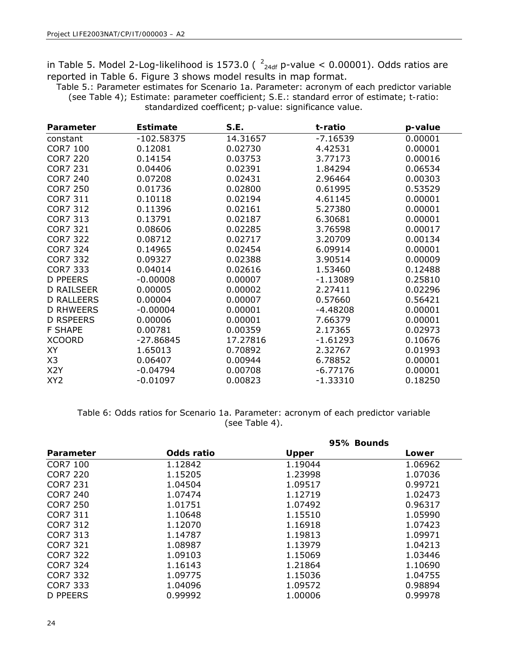in Table 5. Model 2-Log-likelihood is 1573.0 ( $2_{24df}$  p-value < 0.00001). Odds ratios are reported in Table 6. Figure 3 shows model results in map format.

Table 5.: Parameter estimates for Scenario 1a. Parameter: acronym of each predictor variable (see Table 4); *Estimate*: parameter coefficient; *S.E*.: standard error of estimate; *t-ratio*: standardized coefficent; *p-value*: significance value.

| Parameter         | <b>Estimate</b> | S.E.     | t-ratio    | p-value |
|-------------------|-----------------|----------|------------|---------|
| constant          | $-102.58375$    | 14.31657 | $-7.16539$ | 0.00001 |
| <b>COR7 100</b>   | 0.12081         | 0.02730  | 4.42531    | 0.00001 |
| <b>COR7 220</b>   | 0.14154         | 0.03753  | 3.77173    | 0.00016 |
| <b>COR7 231</b>   | 0.04406         | 0.02391  | 1.84294    | 0.06534 |
| <b>COR7 240</b>   | 0.07208         | 0.02431  | 2.96464    | 0.00303 |
| <b>COR7 250</b>   | 0.01736         | 0.02800  | 0.61995    | 0.53529 |
| <b>COR7 311</b>   | 0.10118         | 0.02194  | 4.61145    | 0.00001 |
| <b>COR7 312</b>   | 0.11396         | 0.02161  | 5.27380    | 0.00001 |
| <b>COR7 313</b>   | 0.13791         | 0.02187  | 6.30681    | 0.00001 |
| <b>COR7 321</b>   | 0.08606         | 0.02285  | 3.76598    | 0.00017 |
| <b>COR7 322</b>   | 0.08712         | 0.02717  | 3.20709    | 0.00134 |
| <b>COR7 324</b>   | 0.14965         | 0.02454  | 6.09914    | 0.00001 |
| <b>COR7 332</b>   | 0.09327         | 0.02388  | 3.90514    | 0.00009 |
| COR7 333          | 0.04014         | 0.02616  | 1.53460    | 0.12488 |
| <b>D PPEERS</b>   | $-0.00008$      | 0.00007  | $-1.13089$ | 0.25810 |
| <b>D RAILSEER</b> | 0.00005         | 0.00002  | 2.27411    | 0.02296 |
| <b>D RALLEERS</b> | 0.00004         | 0.00007  | 0.57660    | 0.56421 |
| <b>D RHWEERS</b>  | $-0.00004$      | 0.00001  | $-4.48208$ | 0.00001 |
| <b>D RSPEERS</b>  | 0.00006         | 0.00001  | 7.66379    | 0.00001 |
| <b>F SHAPE</b>    | 0.00781         | 0.00359  | 2.17365    | 0.02973 |
| <b>XCOORD</b>     | $-27.86845$     | 17.27816 | $-1.61293$ | 0.10676 |
| XY                | 1.65013         | 0.70892  | 2.32767    | 0.01993 |
| X3                | 0.06407         | 0.00944  | 6.78852    | 0.00001 |
| X <sub>2</sub> Y  | $-0.04794$      | 0.00708  | $-6.77176$ | 0.00001 |
| XY <sub>2</sub>   | $-0.01097$      | 0.00823  | $-1.33310$ | 0.18250 |

Table 6: Odds ratios for Scenario 1a. *Parameter*: acronym of each predictor variable (see Table 4).

|            | 95% Bounds   |         |
|------------|--------------|---------|
| Odds ratio | <b>Upper</b> | Lower   |
| 1.12842    | 1.19044      | 1.06962 |
| 1.15205    | 1.23998      | 1.07036 |
| 1.04504    | 1.09517      | 0.99721 |
| 1.07474    | 1.12719      | 1.02473 |
| 1.01751    | 1.07492      | 0.96317 |
| 1.10648    | 1.15510      | 1.05990 |
| 1.12070    | 1.16918      | 1.07423 |
| 1.14787    | 1.19813      | 1.09971 |
| 1.08987    | 1.13979      | 1.04213 |
| 1.09103    | 1.15069      | 1.03446 |
| 1.16143    | 1.21864      | 1.10690 |
| 1.09775    | 1.15036      | 1.04755 |
| 1.04096    | 1.09572      | 0.98894 |
| 0.99992    | 1.00006      | 0.99978 |
|            |              |         |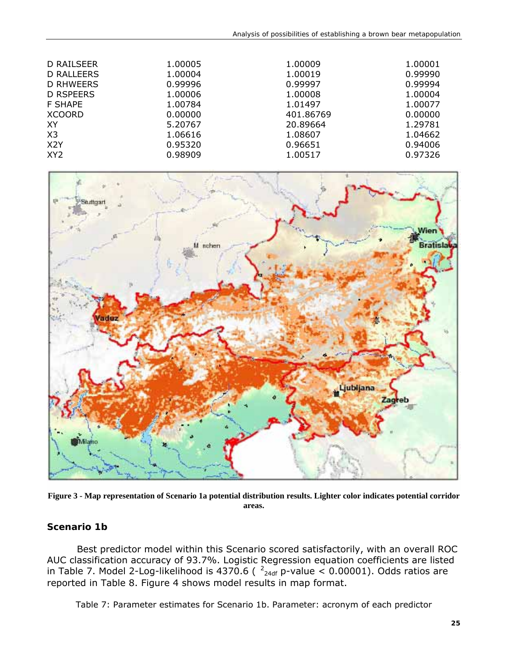| D RAILSEER<br><b>D RALLEERS</b> | 1.00005<br>1.00004 | 1.00009<br>1.00019 | 1.00001<br>0.99990 |
|---------------------------------|--------------------|--------------------|--------------------|
| <b>D RHWEERS</b>                | 0.99996            | 0.99997            | 0.99994            |
| <b>D RSPEERS</b>                | 1.00006            | 1.00008            | 1.00004            |
| <b>F SHAPE</b>                  | 1.00784            | 1.01497            | 1.00077            |
| <b>XCOORD</b>                   | 0.00000            | 401.86769          | 0.00000            |
| XY                              | 5.20767            | 20.89664           | 1.29781            |
| X <sub>3</sub>                  | 1.06616            | 1.08607            | 1.04662            |
| X <sub>2</sub> Y                | 0.95320            | 0.96651            | 0.94006            |
| XY <sub>2</sub>                 | 0.98909            | 1.00517            | 0.97326            |



**Figure 3 - Map representation of Scenario 1a potential distribution results. Lighter color indicates potential corridor areas.**

#### **Scenario 1b**

Best predictor model within this Scenario scored satisfactorily, with an overall ROC AUC classification accuracy of 93.7%. Logistic Regression equation coefficients are listed in Table 7. Model 2-Log-likelihood is 4370.6 ( $\frac{2}{24}$  p-value < 0.00001). Odds ratios are reported in Table 8. Figure 4 shows model results in map format.

Table 7: Parameter estimates for Scenario 1b. *Parameter*: acronym of each predictor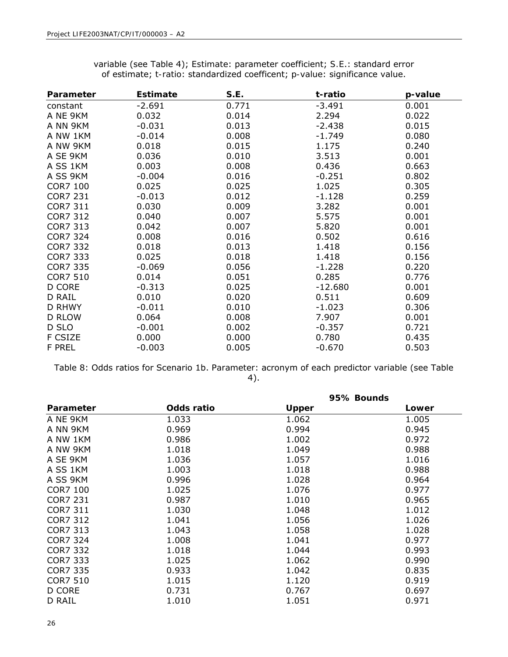| Parameter       | <b>Estimate</b> | S.E.  | t-ratio   | p-value |
|-----------------|-----------------|-------|-----------|---------|
| constant        | $-2.691$        | 0.771 | $-3.491$  | 0.001   |
| A NE 9KM        | 0.032           | 0.014 | 2.294     | 0.022   |
| A NN 9KM        | $-0.031$        | 0.013 | $-2.438$  | 0.015   |
| A NW 1KM        | $-0.014$        | 0.008 | $-1.749$  | 0.080   |
| A NW 9KM        | 0.018           | 0.015 | 1.175     | 0.240   |
| A SE 9KM        | 0.036           | 0.010 | 3.513     | 0.001   |
| A SS 1KM        | 0.003           | 0.008 | 0.436     | 0.663   |
| A SS 9KM        | $-0.004$        | 0.016 | $-0.251$  | 0.802   |
| <b>COR7 100</b> | 0.025           | 0.025 | 1.025     | 0.305   |
| <b>COR7 231</b> | $-0.013$        | 0.012 | $-1.128$  | 0.259   |
| <b>COR7 311</b> | 0.030           | 0.009 | 3.282     | 0.001   |
| <b>COR7 312</b> | 0.040           | 0.007 | 5.575     | 0.001   |
| COR7 313        | 0.042           | 0.007 | 5.820     | 0.001   |
| <b>COR7 324</b> | 0.008           | 0.016 | 0.502     | 0.616   |
| <b>COR7 332</b> | 0.018           | 0.013 | 1.418     | 0.156   |
| COR7 333        | 0.025           | 0.018 | 1.418     | 0.156   |
| <b>COR7 335</b> | $-0.069$        | 0.056 | $-1.228$  | 0.220   |
| <b>COR7 510</b> | 0.014           | 0.051 | 0.285     | 0.776   |
| D CORE          | $-0.313$        | 0.025 | $-12.680$ | 0.001   |
| D RAIL          | 0.010           | 0.020 | 0.511     | 0.609   |
| D RHWY          | $-0.011$        | 0.010 | $-1.023$  | 0.306   |
| <b>D RLOW</b>   | 0.064           | 0.008 | 7.907     | 0.001   |
| D SLO           | $-0.001$        | 0.002 | $-0.357$  | 0.721   |
| F CSIZE         | 0.000           | 0.000 | 0.780     | 0.435   |
| <b>F PREL</b>   | $-0.003$        | 0.005 | $-0.670$  | 0.503   |

variable (see Table 4); *Estimate*: parameter coefficient; *S.E*.: standard error of estimate; *t-ratio*: standardized coefficent; *p-value*: significance value.

Table 8: Odds ratios for Scenario 1b. *Parameter*: acronym of each predictor variable (see Table 4).

|                 |            | 95% Bounds   |       |
|-----------------|------------|--------------|-------|
| Parameter       | Odds ratio | <b>Upper</b> | Lower |
| A NE 9KM        | 1.033      | 1.062        | 1.005 |
| A NN 9KM        | 0.969      | 0.994        | 0.945 |
| A NW 1KM        | 0.986      | 1.002        | 0.972 |
| A NW 9KM        | 1.018      | 1.049        | 0.988 |
| A SE 9KM        | 1.036      | 1.057        | 1.016 |
| A SS 1KM        | 1.003      | 1.018        | 0.988 |
| A SS 9KM        | 0.996      | 1.028        | 0.964 |
| <b>COR7 100</b> | 1.025      | 1.076        | 0.977 |
| <b>COR7 231</b> | 0.987      | 1.010        | 0.965 |
| COR7 311        | 1.030      | 1.048        | 1.012 |
| COR7 312        | 1.041      | 1.056        | 1.026 |
| COR7 313        | 1.043      | 1.058        | 1.028 |
| <b>COR7 324</b> | 1.008      | 1.041        | 0.977 |
| COR7 332        | 1.018      | 1.044        | 0.993 |
| <b>COR7 333</b> | 1.025      | 1.062        | 0.990 |
| COR7 335        | 0.933      | 1.042        | 0.835 |
| <b>COR7 510</b> | 1.015      | 1.120        | 0.919 |
| D CORE          | 0.731      | 0.767        | 0.697 |
| D RAIL          | 1.010      | 1.051        | 0.971 |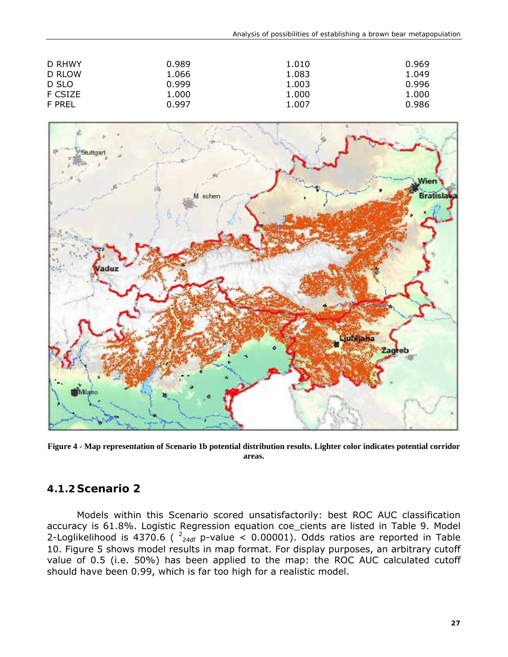| D RHWY<br>D RLOW | 0.989<br>1.066 | 1.010<br>1.083 | 0.969<br>1.049 |
|------------------|----------------|----------------|----------------|
| D SLO<br>F CSIZE | 0.999<br>1.000 | 1.003          | 0.996          |
| F PREL           | 0.997          | 1.000<br>1.007 | 1.000<br>0.986 |



**Figure 4 - Map representation of Scenario 1b potential distribution results. Lighter color indicates potential corridor areas.**

#### **4.1.2 Scenario 2**

Models within this Scenario scored unsatisfactorily: best ROC AUC classification accuracy is 61.8%. Logistic Regression equation coe\_cients are listed in Table 9. Model 2-Loglikelihood is 4370.6 ( $2_{24df}$  p-value < 0.00001). Odds ratios are reported in Table 10. Figure 5 shows model results in map format. For display purposes, an arbitrary cutoff value of 0.5 (i.e. 50%) has been applied to the map: the ROC AUC calculated cutoff should have been 0.99, which is far too high for a realistic model.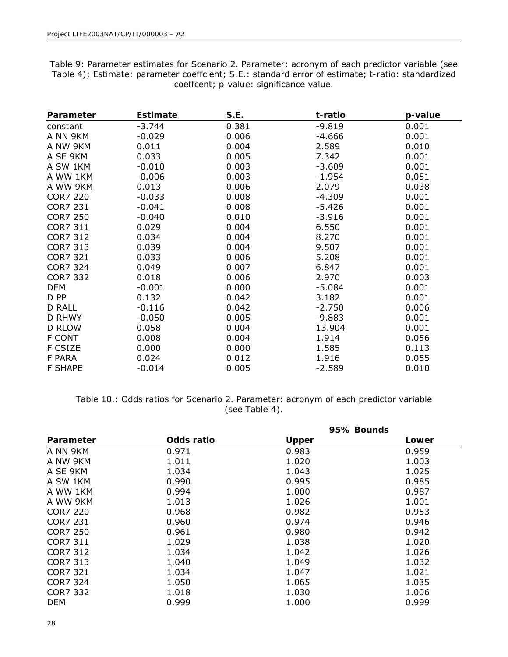| Table TI, Estimator parameter coencient, S.En Standard error or coenciety thanor standardized<br>coeffcent; <i>p-value</i> : significance value. |                 |       |          |         |  |
|--------------------------------------------------------------------------------------------------------------------------------------------------|-----------------|-------|----------|---------|--|
| Parameter                                                                                                                                        | <b>Estimate</b> | S.E.  | t-ratio  | p-value |  |
| constant                                                                                                                                         | -3.744          | 0.381 | $-9.819$ | 0.001   |  |
| A NN 9KM                                                                                                                                         | $-0.029$        | 0.006 | -4.666   | 0.001   |  |
| A NW 9KM                                                                                                                                         | 0.011           | 0.004 | 2.589    | 0.010   |  |
| A SE 9KM                                                                                                                                         | 0.033           | 0.005 | 7.342    | 0.001   |  |

A SW 1KM -0.010 0.003 -3.609 0.001 A WW 1KM -0.006 0.003 -1.954 0.051 A WW 9KM 0.013 0.006 2.079 0.038 COR7 220 -0.033 0.008 -4.309 0.001 COR7 231 -0.041 0.008 -5.426 0.001 COR7 250 -0.040 0.010 -3.916 0.001 COR7 311 0.029 0.004 6.550 0.001 COR7 312 0.034 0.004 8.270 0.001 COR7 313 0.039 0.004 9.507 0.001 COR7 321 0.033 0.006 5.208 0.001 COR7 324 0.049 0.007 6.847 0.001 COR7 332 0.018 0.006 2.970 0.003 DEM -0.001 0.000 -5.084 0.001 D PP 0.132 0.042 3.182 0.001 D RALL -0.116 0.042 -2.750 0.006 D RHWY -0.050 0.005 -9.883 0.001 D RLOW 0.058 0.004 13.904 0.001 F CONT 0.008 0.004 1.914 0.056 F CSIZE 0.000 0.000 1.585 0.113 F PARA 0.024 0.012 1.916 0.055 F SHAPE -0.014 0.005 -2.589 0.010

Table 9: Parameter estimates for Scenario 2. *Parameter*: acronym of each predictor variable (see Table 4); *Estimate*: parameter coeffcient; *S.E*.: standard error of estimate; *t-ratio*: standardized

| Table 10.: Odds ratios for Scenario 2. Parameter: acronym of each predictor variable |
|--------------------------------------------------------------------------------------|
| (see Table 4).                                                                       |

|                 |            |              | 95% Bounds |
|-----------------|------------|--------------|------------|
| Parameter       | Odds ratio | <b>Upper</b> | Lower      |
| A NN 9KM        | 0.971      | 0.983        | 0.959      |
| A NW 9KM        | 1.011      | 1.020        | 1.003      |
| A SE 9KM        | 1.034      | 1.043        | 1.025      |
| A SW 1KM        | 0.990      | 0.995        | 0.985      |
| A WW 1KM        | 0.994      | 1.000        | 0.987      |
| A WW 9KM        | 1.013      | 1.026        | 1.001      |
| <b>COR7 220</b> | 0.968      | 0.982        | 0.953      |
| <b>COR7 231</b> | 0.960      | 0.974        | 0.946      |
| <b>COR7 250</b> | 0.961      | 0.980        | 0.942      |
| COR7 311        | 1.029      | 1.038        | 1.020      |
| COR7 312        | 1.034      | 1.042        | 1.026      |
| COR7 313        | 1.040      | 1.049        | 1.032      |
| <b>COR7 321</b> | 1.034      | 1.047        | 1.021      |
| COR7 324        | 1.050      | 1.065        | 1.035      |
| COR7 332        | 1.018      | 1.030        | 1.006      |
| <b>DEM</b>      | 0.999      | 1.000        | 0.999      |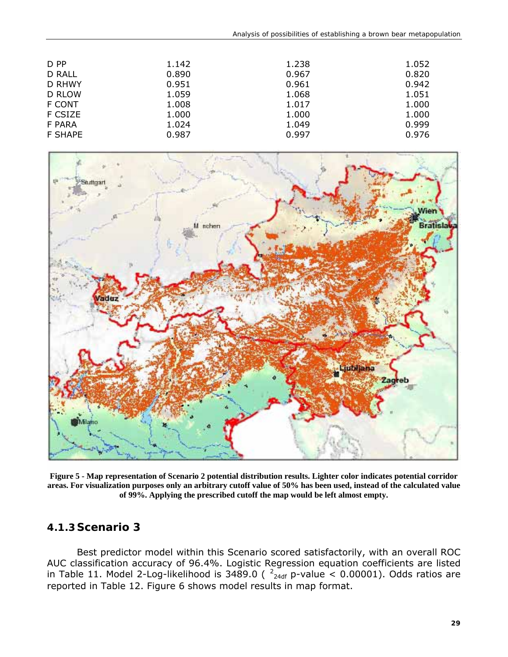| D PP           | 1.142 | 1.238 | 1.052 |
|----------------|-------|-------|-------|
| <b>D RALL</b>  | 0.890 | 0.967 | 0.820 |
| D RHWY         | 0.951 | 0.961 | 0.942 |
| D RLOW         | 1.059 | 1.068 | 1.051 |
| <b>F CONT</b>  | 1.008 | 1.017 | 1.000 |
| F CSIZE        | 1.000 | 1.000 | 1.000 |
| F PARA         | 1.024 | 1.049 | 0.999 |
| <b>F SHAPE</b> | 0.987 | 0.997 | 0.976 |



**Figure 5 - Map representation of Scenario 2 potential distribution results. Lighter color indicates potential corridor areas. For visualization purposes only an arbitrary cutoff value of 50% has been used, instead of the calculated value of 99%. Applying the prescribed cutoff the map would be left almost empty.**

#### **4.1.3 Scenario 3**

Best predictor model within this Scenario scored satisfactorily, with an overall ROC AUC classification accuracy of 96.4%. Logistic Regression equation coefficients are listed in Table 11. Model 2-Log-likelihood is 3489.0 ( $^{2}$ <sub>24df</sub> p-value < 0.00001). Odds ratios are reported in Table 12. Figure 6 shows model results in map format.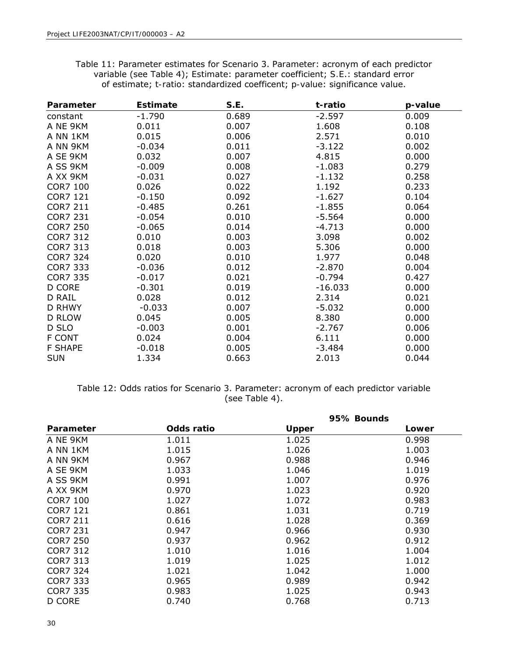Table 11: Parameter estimates for Scenario 3. *Parameter*: acronym of each predictor variable (see Table 4); *Estimate*: parameter coefficient; *S.E*.: standard error of estimate; *t-ratio*: standardized coefficent; *p-value*: significance value.

| Parameter       | <b>Estimate</b> | S.E.  | t-ratio   | p-value |
|-----------------|-----------------|-------|-----------|---------|
| constant        | $-1.790$        | 0.689 | $-2.597$  | 0.009   |
| A NE 9KM        | 0.011           | 0.007 | 1.608     | 0.108   |
| A NN 1KM        | 0.015           | 0.006 | 2.571     | 0.010   |
| A NN 9KM        | $-0.034$        | 0.011 | $-3.122$  | 0.002   |
| A SE 9KM        | 0.032           | 0.007 | 4.815     | 0.000   |
| A SS 9KM        | $-0.009$        | 0.008 | $-1.083$  | 0.279   |
| A XX 9KM        | $-0.031$        | 0.027 | $-1.132$  | 0.258   |
| <b>COR7 100</b> | 0.026           | 0.022 | 1.192     | 0.233   |
| <b>COR7 121</b> | $-0.150$        | 0.092 | $-1.627$  | 0.104   |
| <b>COR7 211</b> | $-0.485$        | 0.261 | $-1.855$  | 0.064   |
| <b>COR7 231</b> | $-0.054$        | 0.010 | $-5.564$  | 0.000   |
| <b>COR7 250</b> | $-0.065$        | 0.014 | $-4.713$  | 0.000   |
| <b>COR7 312</b> | 0.010           | 0.003 | 3.098     | 0.002   |
| <b>COR7 313</b> | 0.018           | 0.003 | 5.306     | 0.000   |
| <b>COR7 324</b> | 0.020           | 0.010 | 1.977     | 0.048   |
| <b>COR7 333</b> | $-0.036$        | 0.012 | $-2.870$  | 0.004   |
| <b>COR7 335</b> | $-0.017$        | 0.021 | $-0.794$  | 0.427   |
| D CORE          | $-0.301$        | 0.019 | $-16.033$ | 0.000   |
| D RAIL          | 0.028           | 0.012 | 2.314     | 0.021   |
| D RHWY          | $-0.033$        | 0.007 | $-5.032$  | 0.000   |
| <b>D RLOW</b>   | 0.045           | 0.005 | 8.380     | 0.000   |
| D SLO           | $-0.003$        | 0.001 | $-2.767$  | 0.006   |
| F CONT          | 0.024           | 0.004 | 6.111     | 0.000   |
| <b>F SHAPE</b>  | $-0.018$        | 0.005 | $-3.484$  | 0.000   |
| <b>SUN</b>      | 1.334           | 0.663 | 2.013     | 0.044   |

Table 12: Odds ratios for Scenario 3. Parameter: acronym of each predictor variable (see Table 4).

|                 |            | 95% Bounds   |       |  |
|-----------------|------------|--------------|-------|--|
| Parameter       | Odds ratio | <b>Upper</b> | Lower |  |
| A NE 9KM        | 1.011      | 1.025        | 0.998 |  |
| A NN 1KM        | 1.015      | 1.026        | 1.003 |  |
| A NN 9KM        | 0.967      | 0.988        | 0.946 |  |
| A SE 9KM        | 1.033      | 1.046        | 1.019 |  |
| A SS 9KM        | 0.991      | 1.007        | 0.976 |  |
| A XX 9KM        | 0.970      | 1.023        | 0.920 |  |
| <b>COR7 100</b> | 1.027      | 1.072        | 0.983 |  |
| COR7 121        | 0.861      | 1.031        | 0.719 |  |
| <b>COR7 211</b> | 0.616      | 1.028        | 0.369 |  |
| COR7 231        | 0.947      | 0.966        | 0.930 |  |
| COR7 250        | 0.937      | 0.962        | 0.912 |  |
| COR7 312        | 1.010      | 1.016        | 1.004 |  |
| COR7 313        | 1.019      | 1.025        | 1.012 |  |
| COR7 324        | 1.021      | 1.042        | 1.000 |  |
| COR7 333        | 0.965      | 0.989        | 0.942 |  |
| COR7 335        | 0.983      | 1.025        | 0.943 |  |
| D CORE          | 0.740      | 0.768        | 0.713 |  |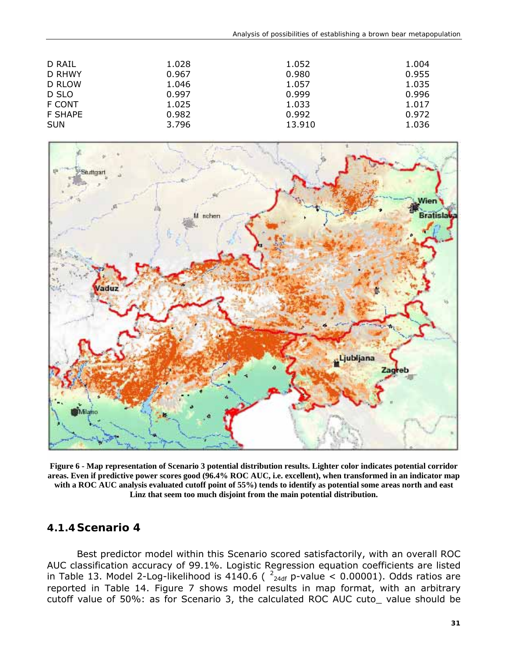| D RAIL<br><b>D RHWY</b> | 1.028<br>0.967 | 1.052<br>0.980 | 1.004<br>0.955 |
|-------------------------|----------------|----------------|----------------|
| D RLOW                  | 1.046          | 1.057          | 1.035          |
| D SLO                   | 0.997          | 0.999          | 0.996          |
| F CONT                  | 1.025          | 1.033          | 1.017          |
| <b>F SHAPE</b>          | 0.982          | 0.992          | 0.972          |
| <b>SUN</b>              | 3.796          | 13.910         | 1.036          |



**Figure 6 - Map representation of Scenario 3 potential distribution results. Lighter color indicates potential corridor areas. Even if predictive power scores good (96.4% ROC AUC, i.e. excellent), when transformed in an indicator map with a ROC AUC analysis evaluated cutoff point of 55%) tends to identify as potential some areas north and east Linz that seem too much disjoint from the main potential distribution.** 

#### **4.1.4 Scenario 4**

Best predictor model within this Scenario scored satisfactorily, with an overall ROC AUC classification accuracy of 99.1%. Logistic Regression equation coefficients are listed in Table 13. Model 2-Log-likelihood is 4140.6 ( $\frac{2}{24}$  p-value < 0.00001). Odds ratios are reported in Table 14. Figure 7 shows model results in map format, with an arbitrary cutoff value of 50%: as for Scenario 3, the calculated ROC AUC cuto\_ value should be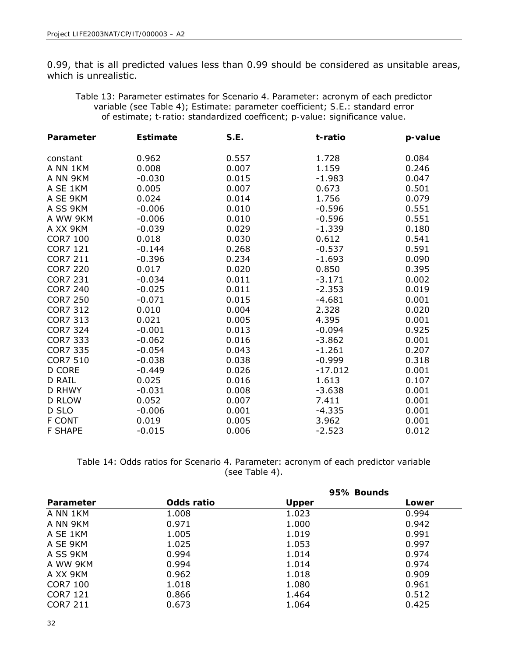0.99, that is all predicted values less than 0.99 should be considered as unsitable areas, which is unrealistic.

Table 13: Parameter estimates for Scenario 4. *Parameter*: acronym of each predictor variable (see Table 4); *Estimate*: parameter coefficient; *S.E*.: standard error of estimate; *t-ratio*: standardized coefficent; *p-value*: significance value.

| Parameter       | <b>Estimate</b> | S.E.  | t-ratio   | p-value |
|-----------------|-----------------|-------|-----------|---------|
|                 |                 |       |           |         |
| constant        | 0.962           | 0.557 | 1.728     | 0.084   |
| A NN 1KM        | 0.008           | 0.007 | 1.159     | 0.246   |
| A NN 9KM        | $-0.030$        | 0.015 | $-1.983$  | 0.047   |
| A SE 1KM        | 0.005           | 0.007 | 0.673     | 0.501   |
| A SE 9KM        | 0.024           | 0.014 | 1.756     | 0.079   |
| A SS 9KM        | $-0.006$        | 0.010 | $-0.596$  | 0.551   |
| A WW 9KM        | $-0.006$        | 0.010 | $-0.596$  | 0.551   |
| A XX 9KM        | $-0.039$        | 0.029 | $-1.339$  | 0.180   |
| <b>COR7 100</b> | 0.018           | 0.030 | 0.612     | 0.541   |
| <b>COR7 121</b> | $-0.144$        | 0.268 | $-0.537$  | 0.591   |
| <b>COR7 211</b> | $-0.396$        | 0.234 | $-1.693$  | 0.090   |
| <b>COR7 220</b> | 0.017           | 0.020 | 0.850     | 0.395   |
| <b>COR7 231</b> | $-0.034$        | 0.011 | $-3.171$  | 0.002   |
| <b>COR7 240</b> | $-0.025$        | 0.011 | $-2.353$  | 0.019   |
| <b>COR7 250</b> | $-0.071$        | 0.015 | $-4.681$  | 0.001   |
| <b>COR7 312</b> | 0.010           | 0.004 | 2.328     | 0.020   |
| <b>COR7 313</b> | 0.021           | 0.005 | 4.395     | 0.001   |
| <b>COR7 324</b> | $-0.001$        | 0.013 | $-0.094$  | 0.925   |
| <b>COR7 333</b> | $-0.062$        | 0.016 | $-3.862$  | 0.001   |
| <b>COR7 335</b> | $-0.054$        | 0.043 | $-1.261$  | 0.207   |
| <b>COR7 510</b> | $-0.038$        | 0.038 | -0.999    | 0.318   |
| <b>D CORE</b>   | $-0.449$        | 0.026 | $-17.012$ | 0.001   |
| <b>D RAIL</b>   | 0.025           | 0.016 | 1.613     | 0.107   |
| D RHWY          | $-0.031$        | 0.008 | $-3.638$  | 0.001   |
| <b>D RLOW</b>   | 0.052           | 0.007 | 7.411     | 0.001   |
| D SLO           | $-0.006$        | 0.001 | $-4.335$  | 0.001   |
| <b>F CONT</b>   | 0.019           | 0.005 | 3.962     | 0.001   |
| <b>F SHAPE</b>  | $-0.015$        | 0.006 | $-2.523$  | 0.012   |

Table 14: Odds ratios for Scenario 4. Parameter: acronym of each predictor variable (see Table 4).

|           |            | 95% Bounds   |       |  |
|-----------|------------|--------------|-------|--|
| Parameter | Odds ratio | <b>Upper</b> | Lower |  |
| A NN 1KM  | 1.008      | 1.023        | 0.994 |  |
| A NN 9KM  | 0.971      | 1.000        | 0.942 |  |
| A SE 1KM  | 1.005      | 1.019        | 0.991 |  |
| A SE 9KM  | 1.025      | 1.053        | 0.997 |  |
| A SS 9KM  | 0.994      | 1.014        | 0.974 |  |
| A WW 9KM  | 0.994      | 1.014        | 0.974 |  |
| A XX 9KM  | 0.962      | 1.018        | 0.909 |  |
| COR7 100  | 1.018      | 1.080        | 0.961 |  |
| COR7 121  | 0.866      | 1.464        | 0.512 |  |
| COR7 211  | 0.673      | 1.064        | 0.425 |  |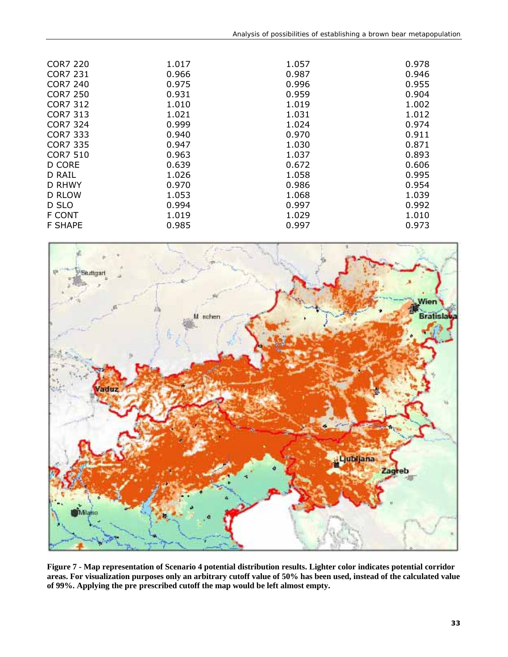| <b>COR7 220</b> | 1.017 | 1.057 | 0.978 |
|-----------------|-------|-------|-------|
| <b>COR7 231</b> | 0.966 | 0.987 | 0.946 |
| <b>COR7 240</b> | 0.975 | 0.996 | 0.955 |
| <b>COR7 250</b> | 0.931 | 0.959 | 0.904 |
| COR7 312        | 1.010 | 1.019 | 1.002 |
| <b>COR7 313</b> | 1.021 | 1.031 | 1.012 |
| COR7 324        | 0.999 | 1.024 | 0.974 |
| COR7 333        | 0.940 | 0.970 | 0.911 |
| COR7 335        | 0.947 | 1.030 | 0.871 |
| <b>COR7 510</b> | 0.963 | 1.037 | 0.893 |
| D CORE          | 0.639 | 0.672 | 0.606 |
| D RAIL          | 1.026 | 1.058 | 0.995 |
| <b>D RHWY</b>   | 0.970 | 0.986 | 0.954 |
| D RLOW          | 1.053 | 1.068 | 1.039 |
| D SLO           | 0.994 | 0.997 | 0.992 |
| F CONT          | 1.019 | 1.029 | 1.010 |
| <b>F SHAPE</b>  | 0.985 | 0.997 | 0.973 |



**Figure 7 - Map representation of Scenario 4 potential distribution results. Lighter color indicates potential corridor areas. For visualization purposes only an arbitrary cutoff value of 50% has been used, instead of the calculated value of 99%. Applying the pre prescribed cutoff the map would be left almost empty.**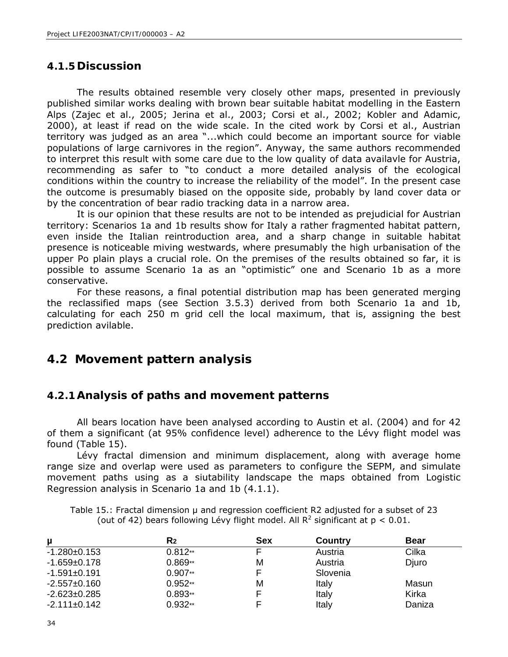#### **4.1.5Discussion**

The results obtained resemble very closely other maps, presented in previously published similar works dealing with brown bear suitable habitat modelling in the Eastern Alps (Zajec et al., 2005; Jerina et al., 2003; Corsi et al., 2002; Kobler and Adamic, 2000), at least if read on the wide scale. In the cited work by Corsi et al., Austrian territory was judged as an area "...which could become an important source for viable populations of large carnivores in the region". Anyway, the same authors recommended to interpret this result with some care due to the low quality of data availavle for Austria, recommending as safer to "to conduct a more detailed analysis of the ecological conditions within the country to increase the reliability of the model". In the present case the outcome is presumably biased on the opposite side, probably by land cover data or by the concentration of bear radio tracking data in a narrow area.

It is our opinion that these results are not to be intended as prejudicial for Austrian territory: Scenarios 1a and 1b results show for Italy a rather fragmented habitat pattern, even inside the Italian reintroduction area, and a sharp change in suitable habitat presence is noticeable miving westwards, where presumably the high urbanisation of the upper Po plain plays a crucial role. On the premises of the results obtained so far, it is possible to assume Scenario 1a as an "optimistic" one and Scenario 1b as a more conservative.

For these reasons, a final potential distribution map has been generated merging the reclassified maps (see Section 3.5.3) derived from both Scenario 1a and 1b, calculating for each 250 m grid cell the local maximum, that is, assigning the best prediction avilable.

### **4.2 Movement pattern analysis**

#### **4.2.1Analysis of paths and movement patterns**

All bears location have been analysed according to Austin et al. (2004) and for 42 of them a significant (at 95% confidence level) adherence to the Lévy flight model was found (Table 15).

Lévy fractal dimension and minimum displacement, along with average home range size and overlap were used as parameters to configure the SEPM, and simulate movement paths using as a siutability landscape the maps obtained from Logistic Regression analysis in Scenario 1a and 1b (4.1.1).

Table 15.: Fractal dimension µ and regression coefficient R2 adjusted for a subset of 23 (out of 42) bears following Lévy flight model. All  $R^2$  significant at  $p < 0.01$ .

| μ                  | R2        | <b>Sex</b> | <b>Country</b> | <b>Bear</b> |
|--------------------|-----------|------------|----------------|-------------|
| $-1.280+0.153$     | $0.812**$ |            | Austria        | Cilka       |
| $-1.659+0.178$     | $0.869**$ | М          | Austria        | Djuro       |
| $-1.591 \pm 0.191$ | $0.907**$ |            | Slovenia       |             |
| $-2.557+0.160$     | $0.952**$ | М          | Italy          | Masun       |
| $-2.623 \pm 0.285$ | $0.893**$ |            | Italy          | Kirka       |
| $-2.111 \pm 0.142$ | $0.932**$ |            | Italy          | Daniza      |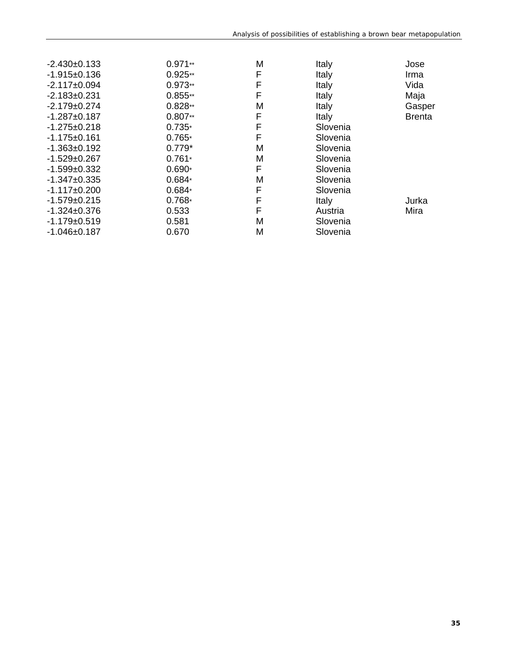| $-2.430+0.133$     | $0.971**$ | M | Italy                  | Jose   |
|--------------------|-----------|---|------------------------|--------|
| $-1.915+0.136$     | $0.925**$ | F | Italy                  | Irma   |
| $-2.117 \pm 0.094$ | $0.973**$ | F | Italy                  | Vida   |
| $-2.183+0.231$     | $0.855**$ | F | Italy                  | Maja   |
| $-2.179+0.274$     | $0.828**$ | М | Italy                  | Gasper |
| $-1.287 + 0.187$   | $0.807**$ | F | Italy<br><b>Brenta</b> |        |
| $-1.275+0.218$     | $0.735*$  | F | Slovenia               |        |
| -1.175±0.161       | $0.765*$  | F | Slovenia               |        |
| $-1.363+0.192$     | $0.779*$  | M | Slovenia               |        |
| $-1.529+0.267$     | $0.761*$  | M | Slovenia               |        |
| $-1.599+0.332$     | $0.690*$  | F | Slovenia               |        |
| $-1.347+0.335$     | $0.684*$  | М | Slovenia               |        |
| $-1.117\pm0.200$   | $0.684*$  | F | Slovenia               |        |
| $-1.579+0.215$     | $0.768*$  | F | Italy                  | Jurka  |
| -1.324±0.376       | 0.533     | F | Austria                | Mira   |
| $-1.179+0.519$     | 0.581     | M | Slovenia               |        |
| $-1.046 \pm 0.187$ | 0.670     | М | Slovenia               |        |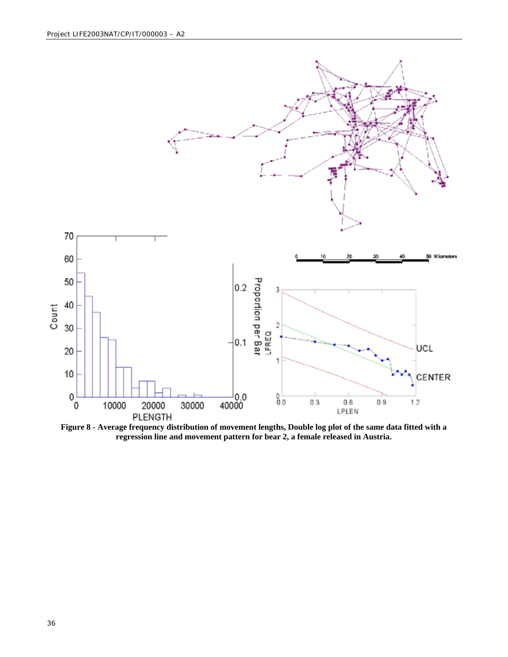

**Figure 8 - Average frequency distribution of movement lengths, Double log plot of the same data fitted with a regression line and movement pattern for bear 2, a female released in Austria.**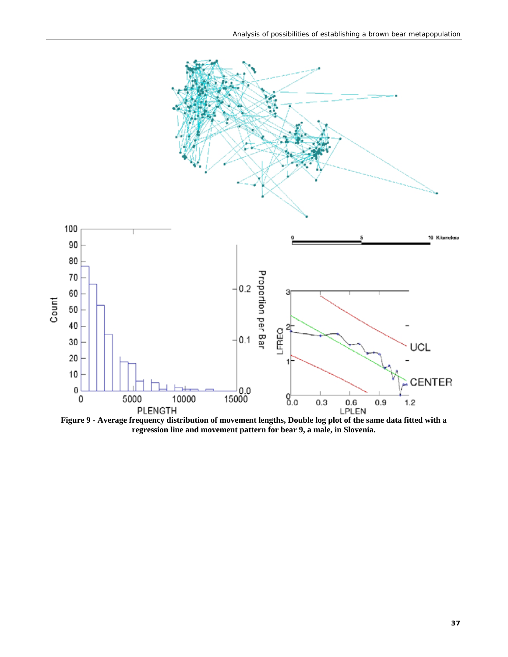

**Figure 9 - Average frequency distribution of movement lengths, Double log plot of the same data fitted with a regression line and movement pattern for bear 9, a male, in Slovenia.**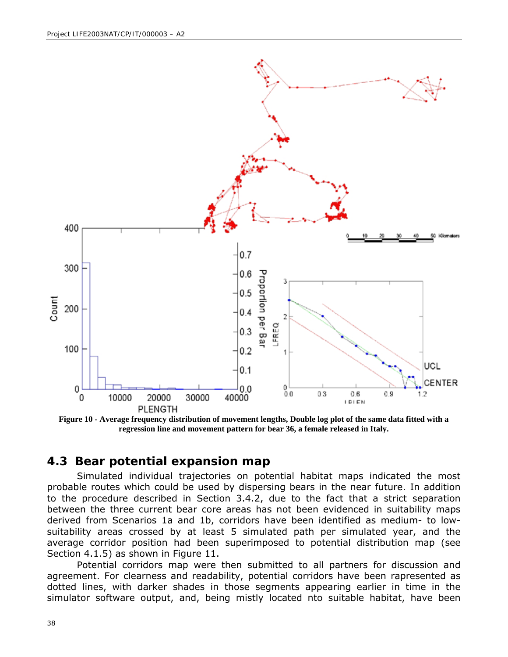

**Figure 10 - Average frequency distribution of movement lengths, Double log plot of the same data fitted with a regression line and movement pattern for bear 36, a female released in Italy.**

#### **4.3 Bear potential expansion map**

Simulated individual trajectories on potential habitat maps indicated the most probable routes which could be used by dispersing bears in the near future. In addition to the procedure described in Section 3.4.2, due to the fact that a strict separation between the three current bear core areas has not been evidenced in suitability maps derived from Scenarios 1a and 1b, corridors have been identified as medium- to lowsuitability areas crossed by at least 5 simulated path per simulated year, and the average corridor position had been superimposed to potential distribution map (see Section 4.1.5) as shown in Figure 11.

Potential corridors map were then submitted to all partners for discussion and agreement. For clearness and readability, potential corridors have been rapresented as dotted lines, with darker shades in those segments appearing earlier in time in the simulator software output, and, being mistly located nto suitable habitat, have been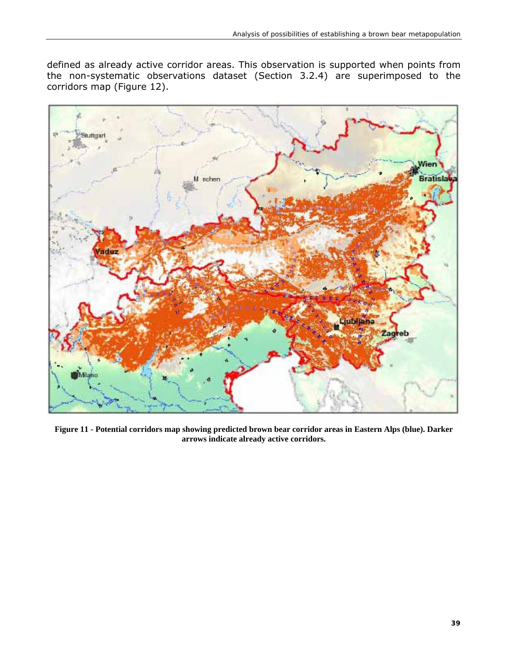defined as already active corridor areas. This observation is supported when points from the non-systematic observations dataset (Section 3.2.4) are superimposed to the corridors map (Figure 12).



**Figure 11 - Potential corridors map showing predicted brown bear corridor areas in Eastern Alps (blue). Darker arrows indicate already active corridors.**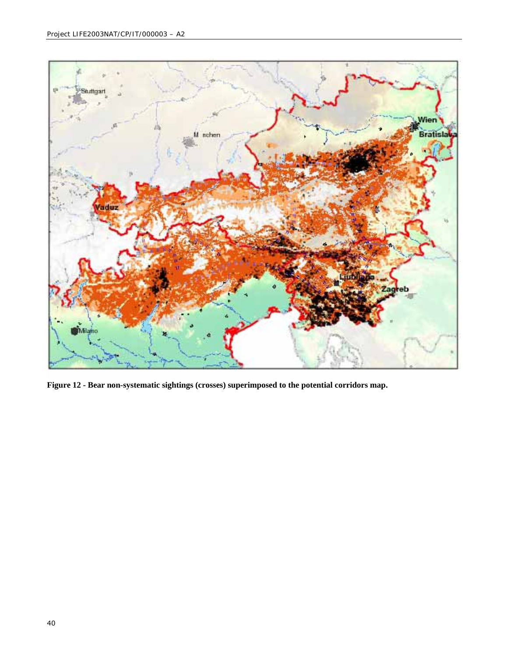

**Figure 12 - Bear non-systematic sightings (crosses) superimposed to the potential corridors map.**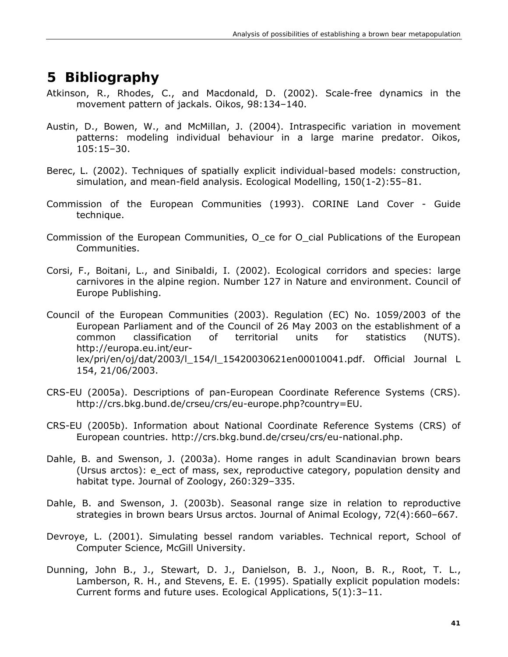## **5 Bibliography**

- Atkinson, R., Rhodes, C., and Macdonald, D. (2002). Scale-free dynamics in the movement pattern of jackals. Oikos, 98:134–140.
- Austin, D., Bowen, W., and McMillan, J. (2004). Intraspecific variation in movement patterns: modeling individual behaviour in a large marine predator. Oikos, 105:15–30.
- Berec, L. (2002). Techniques of spatially explicit individual-based models: construction, simulation, and mean-field analysis. Ecological Modelling, 150(1-2):55–81.
- Commission of the European Communities (1993). CORINE Land Cover Guide technique.
- Commission of the European Communities, O ce for O cial Publications of the European Communities.
- Corsi, F., Boitani, L., and Sinibaldi, I. (2002). Ecological corridors and species: large carnivores in the alpine region. Number 127 in Nature and environment. Council of Europe Publishing.
- Council of the European Communities (2003). Regulation (EC) No. 1059/2003 of the European Parliament and of the Council of 26 May 2003 on the establishment of a common classification of territorial units for statistics (NUTS). http://europa.eu.int/eurlex/pri/en/oj/dat/2003/l\_154/l\_15420030621en00010041.pdf. Official Journal L 154, 21/06/2003.
- CRS-EU (2005a). Descriptions of pan-European Coordinate Reference Systems (CRS). http://crs.bkg.bund.de/crseu/crs/eu-europe.php?country=EU.
- CRS-EU (2005b). Information about National Coordinate Reference Systems (CRS) of European countries. http://crs.bkg.bund.de/crseu/crs/eu-national.php.
- Dahle, B. and Swenson, J. (2003a). Home ranges in adult Scandinavian brown bears (Ursus arctos): e\_ect of mass, sex, reproductive category, population density and habitat type. Journal of Zoology, 260:329–335.
- Dahle, B. and Swenson, J. (2003b). Seasonal range size in relation to reproductive strategies in brown bears Ursus arctos. Journal of Animal Ecology, 72(4):660–667.
- Devroye, L. (2001). Simulating bessel random variables. Technical report, School of Computer Science, McGill University.
- Dunning, John B., J., Stewart, D. J., Danielson, B. J., Noon, B. R., Root, T. L., Lamberson, R. H., and Stevens, E. E. (1995). Spatially explicit population models: Current forms and future uses. Ecological Applications, 5(1):3–11.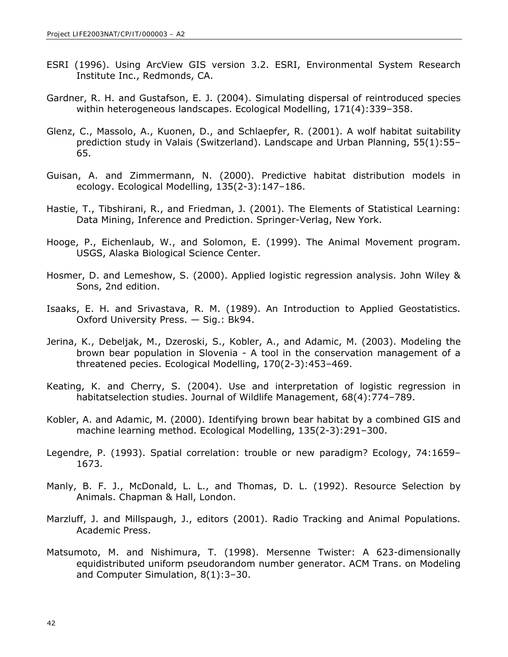- ESRI (1996). Using ArcView GIS version 3.2. ESRI, Environmental System Research Institute Inc., Redmonds, CA.
- Gardner, R. H. and Gustafson, E. J. (2004). Simulating dispersal of reintroduced species within heterogeneous landscapes. Ecological Modelling, 171(4):339–358.
- Glenz, C., Massolo, A., Kuonen, D., and Schlaepfer, R. (2001). A wolf habitat suitability prediction study in Valais (Switzerland). Landscape and Urban Planning, 55(1):55– 65.
- Guisan, A. and Zimmermann, N. (2000). Predictive habitat distribution models in ecology. Ecological Modelling, 135(2-3):147–186.
- Hastie, T., Tibshirani, R., and Friedman, J. (2001). The Elements of Statistical Learning: Data Mining, Inference and Prediction. Springer-Verlag, New York.
- Hooge, P., Eichenlaub, W., and Solomon, E. (1999). The Animal Movement program. USGS, Alaska Biological Science Center.
- Hosmer, D. and Lemeshow, S. (2000). Applied logistic regression analysis. John Wiley & Sons, 2nd edition.
- Isaaks, E. H. and Srivastava, R. M. (1989). An Introduction to Applied Geostatistics. Oxford University Press. — Sig.: Bk94.
- Jerina, K., Debeljak, M., Dzeroski, S., Kobler, A., and Adamic, M. (2003). Modeling the brown bear population in Slovenia - A tool in the conservation management of a threatened pecies. Ecological Modelling, 170(2-3):453–469.
- Keating, K. and Cherry, S. (2004). Use and interpretation of logistic regression in habitatselection studies. Journal of Wildlife Management, 68(4):774–789.
- Kobler, A. and Adamic, M. (2000). Identifying brown bear habitat by a combined GIS and machine learning method. Ecological Modelling, 135(2-3):291–300.
- Legendre, P. (1993). Spatial correlation: trouble or new paradigm? Ecology, 74:1659– 1673.
- Manly, B. F. J., McDonald, L. L., and Thomas, D. L. (1992). Resource Selection by Animals. Chapman & Hall, London.
- Marzluff, J. and Millspaugh, J., editors (2001). Radio Tracking and Animal Populations. Academic Press.
- Matsumoto, M. and Nishimura, T. (1998). Mersenne Twister: A 623-dimensionally equidistributed uniform pseudorandom number generator. ACM Trans. on Modeling and Computer Simulation, 8(1):3–30.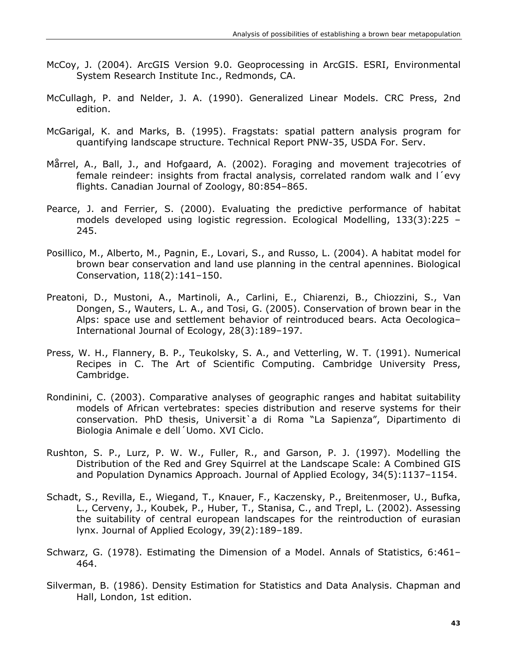- McCoy, J. (2004). ArcGIS Version 9.0. Geoprocessing in ArcGIS. ESRI, Environmental System Research Institute Inc., Redmonds, CA.
- McCullagh, P. and Nelder, J. A. (1990). Generalized Linear Models. CRC Press, 2nd edition.
- McGarigal, K. and Marks, B. (1995). Fragstats: spatial pattern analysis program for quantifying landscape structure. Technical Report PNW-35, USDA For. Serv.
- Mårrel, A., Ball, J., and Hofgaard, A. (2002). Foraging and movement trajecotries of female reindeer: insights from fractal analysis, correlated random walk and l´evy flights. Canadian Journal of Zoology, 80:854–865.
- Pearce, J. and Ferrier, S. (2000). Evaluating the predictive performance of habitat models developed using logistic regression. Ecological Modelling, 133(3):225 – 245.
- Posillico, M., Alberto, M., Pagnin, E., Lovari, S., and Russo, L. (2004). A habitat model for brown bear conservation and land use planning in the central apennines. Biological Conservation, 118(2):141–150.
- Preatoni, D., Mustoni, A., Martinoli, A., Carlini, E., Chiarenzi, B., Chiozzini, S., Van Dongen, S., Wauters, L. A., and Tosi, G. (2005). Conservation of brown bear in the Alps: space use and settlement behavior of reintroduced bears. Acta Oecologica– International Journal of Ecology, 28(3):189–197.
- Press, W. H., Flannery, B. P., Teukolsky, S. A., and Vetterling, W. T. (1991). Numerical Recipes in C. The Art of Scientific Computing. Cambridge University Press, Cambridge.
- Rondinini, C. (2003). Comparative analyses of geographic ranges and habitat suitability models of African vertebrates: species distribution and reserve systems for their conservation. PhD thesis, Universit`a di Roma "La Sapienza", Dipartimento di Biologia Animale e dell´Uomo. XVI Ciclo.
- Rushton, S. P., Lurz, P. W. W., Fuller, R., and Garson, P. J. (1997). Modelling the Distribution of the Red and Grey Squirrel at the Landscape Scale: A Combined GIS and Population Dynamics Approach. Journal of Applied Ecology, 34(5):1137–1154.
- Schadt, S., Revilla, E., Wiegand, T., Knauer, F., Kaczensky, P., Breitenmoser, U., Bufka, L., Cerveny, J., Koubek, P., Huber, T., Stanisa, C., and Trepl, L. (2002). Assessing the suitability of central european landscapes for the reintroduction of eurasian lynx. Journal of Applied Ecology, 39(2):189–189.
- Schwarz, G. (1978). Estimating the Dimension of a Model. Annals of Statistics, 6:461– 464.
- Silverman, B. (1986). Density Estimation for Statistics and Data Analysis. Chapman and Hall, London, 1st edition.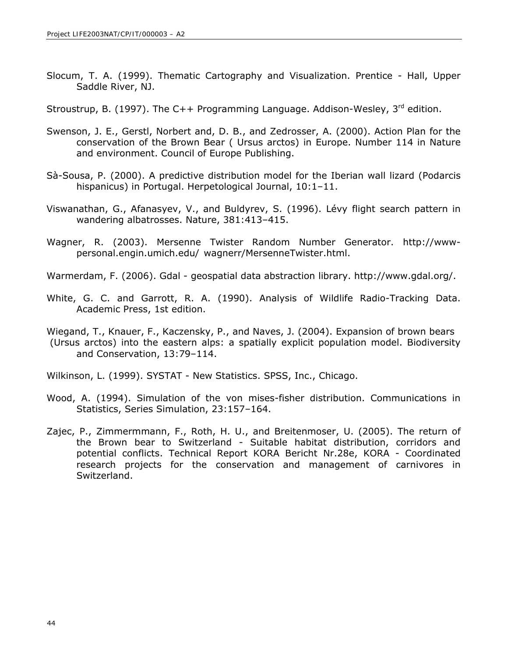Slocum, T. A. (1999). Thematic Cartography and Visualization. Prentice - Hall, Upper Saddle River, NJ.

Stroustrup, B. (1997). The C++ Programming Language. Addison-Wesley,  $3^{rd}$  edition.

- Swenson, J. E., Gerstl, Norbert and, D. B., and Zedrosser, A. (2000). Action Plan for the conservation of the Brown Bear ( Ursus arctos) in Europe. Number 114 in Nature and environment. Council of Europe Publishing.
- Sà-Sousa, P. (2000). A predictive distribution model for the Iberian wall lizard (Podarcis hispanicus) in Portugal. Herpetological Journal, 10:1-11.
- Viswanathan, G., Afanasyev, V., and Buldyrev, S. (1996). Lévy flight search pattern in wandering albatrosses. Nature, 381:413–415.
- Wagner, R. (2003). Mersenne Twister Random Number Generator. http://wwwpersonal.engin.umich.edu/ wagnerr/MersenneTwister.html.
- Warmerdam, F. (2006). Gdal geospatial data abstraction library. http://www.gdal.org/.
- White, G. C. and Garrott, R. A. (1990). Analysis of Wildlife Radio-Tracking Data. Academic Press, 1st edition.
- Wiegand, T., Knauer, F., Kaczensky, P., and Naves, J. (2004). Expansion of brown bears (Ursus arctos) into the eastern alps: a spatially explicit population model. Biodiversity and Conservation, 13:79–114.

Wilkinson, L. (1999). SYSTAT - New Statistics. SPSS, Inc., Chicago.

- Wood, A. (1994). Simulation of the von mises-fisher distribution. Communications in Statistics, Series Simulation, 23:157–164.
- Zajec, P., Zimmermmann, F., Roth, H. U., and Breitenmoser, U. (2005). The return of the Brown bear to Switzerland - Suitable habitat distribution, corridors and potential conflicts. Technical Report KORA Bericht Nr.28e, KORA - Coordinated research projects for the conservation and management of carnivores in Switzerland.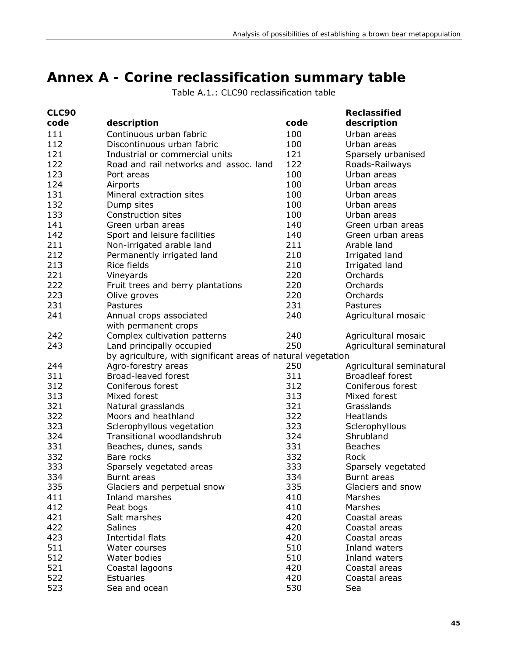## **Annex A - Corine reclassification summary table**

| <b>CLC90</b> |                                                              |      | <b>Reclassified</b>      |
|--------------|--------------------------------------------------------------|------|--------------------------|
| code         | description                                                  | code | description              |
| 111          | Continuous urban fabric                                      | 100  | Urban areas              |
| 112          | Discontinuous urban fabric                                   | 100  | Urban areas              |
| 121          | Industrial or commercial units                               | 121  | Sparsely urbanised       |
| 122          | Road and rail networks and assoc. land                       | 122  | Roads-Railways           |
| 123          | Port areas                                                   | 100  | Urban areas              |
| 124          | Airports                                                     | 100  | Urban areas              |
| 131          | Mineral extraction sites                                     | 100  | Urban areas              |
| 132          | Dump sites                                                   | 100  | Urban areas              |
| 133          | Construction sites                                           | 100  | Urban areas              |
| 141          | Green urban areas                                            | 140  | Green urban areas        |
| 142          | Sport and leisure facilities                                 | 140  | Green urban areas        |
| 211          | Non-irrigated arable land<br>211<br>Arable land              |      |                          |
| 212          | Permanently irrigated land                                   | 210  | Irrigated land           |
| 213          | Rice fields                                                  | 210  | Irrigated land           |
| 221          | Vineyards                                                    | 220  | Orchards                 |
| 222          | Fruit trees and berry plantations                            | 220  | Orchards                 |
| 223          | Olive groves                                                 | 220  | Orchards                 |
| 231          | Pastures                                                     | 231  | Pastures                 |
| 241          | Annual crops associated<br>with permanent crops              | 240  | Agricultural mosaic      |
| 242          | Complex cultivation patterns                                 | 240  | Agricultural mosaic      |
| 243          | Land principally occupied                                    | 250  | Agricultural seminatural |
|              | by agriculture, with significant areas of natural vegetation |      |                          |
| 244          | Agro-forestry areas                                          | 250  | Agricultural seminatural |
| 311          | Broad-leaved forest                                          | 311  | <b>Broadleaf forest</b>  |
| 312          | Coniferous forest                                            | 312  | Coniferous forest        |
| 313          | Mixed forest                                                 | 313  | Mixed forest             |
| 321          | Natural grasslands                                           | 321  | Grasslands               |
| 322          | Moors and heathland                                          | 322  | Heatlands                |
| 323          | Sclerophyllous vegetation                                    | 323  | Sclerophyllous           |
| 324          | Transitional woodlandshrub                                   | 324  | Shrubland                |
| 331          | Beaches, dunes, sands                                        | 331  | <b>Beaches</b>           |
| 332          | Bare rocks                                                   | 332  | <b>Rock</b>              |
| 333          | Sparsely vegetated areas                                     | 333  | Sparsely vegetated       |
| 334          | Burnt areas                                                  | 334  | Burnt areas              |
| 335          | Glaciers and perpetual snow                                  | 335  | Glaciers and snow        |
| 411          | Inland marshes                                               | 410  | Marshes                  |
| 412          | Peat bogs                                                    | 410  | Marshes                  |
| 421          | Salt marshes                                                 | 420  | Coastal areas            |
| 422          | <b>Salines</b>                                               | 420  | Coastal areas            |
| 423          | Intertidal flats                                             | 420  | Coastal areas            |
| 511          | Water courses                                                | 510  | Inland waters            |
| 512          | Water bodies                                                 | 510  | Inland waters            |
| 521          | Coastal lagoons                                              | 420  | Coastal areas            |
| 522          | Estuaries                                                    | 420  | Coastal areas            |
| 523          | Sea and ocean                                                | 530  | Sea                      |

Table A.1.: CLC90 reclassification table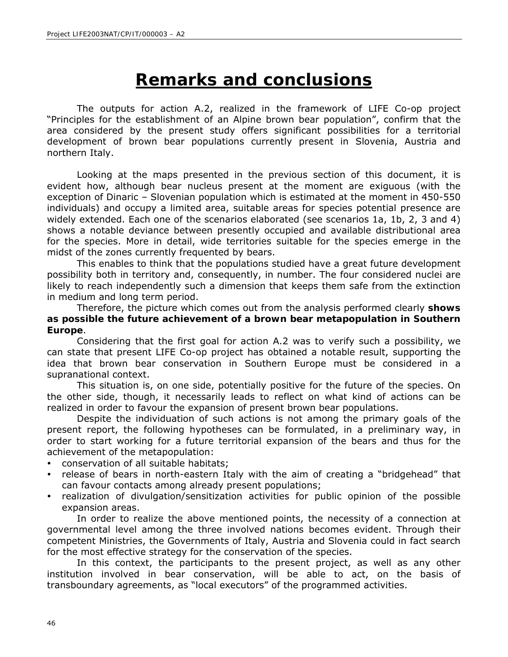# **Remarks and conclusions**

The outputs for action A.2, realized in the framework of LIFE Co-op project "Principles for the establishment of an Alpine brown bear population", confirm that the area considered by the present study offers significant possibilities for a territorial development of brown bear populations currently present in Slovenia, Austria and northern Italy.

Looking at the maps presented in the previous section of this document, it is evident how, although bear nucleus present at the moment are exiguous (with the exception of Dinaric – Slovenian population which is estimated at the moment in 450-550 individuals) and occupy a limited area, suitable areas for species potential presence are widely extended. Each one of the scenarios elaborated (see scenarios 1a, 1b, 2, 3 and 4) shows a notable deviance between presently occupied and available distributional area for the species. More in detail, wide territories suitable for the species emerge in the midst of the zones currently frequented by bears.

This enables to think that the populations studied have a great future development possibility both in territory and, consequently, in number. The four considered nuclei are likely to reach independently such a dimension that keeps them safe from the extinction in medium and long term period.

Therefore, the picture which comes out from the analysis performed clearly **shows as possible the future achievement of a brown bear metapopulation in Southern Europe**.

Considering that the first goal for action A.2 was to verify such a possibility, we can state that present LIFE Co-op project has obtained a notable result, supporting the idea that brown bear conservation in Southern Europe must be considered in a supranational context.

This situation is, on one side, potentially positive for the future of the species. On the other side, though, it necessarily leads to reflect on what kind of actions can be realized in order to favour the expansion of present brown bear populations.

Despite the individuation of such actions is not among the primary goals of the present report, the following hypotheses can be formulated, in a preliminary way, in order to start working for a future territorial expansion of the bears and thus for the achievement of the metapopulation:

- conservation of all suitable habitats;
- release of bears in north-eastern Italy with the aim of creating a "bridgehead" that can favour contacts among already present populations;
- realization of divulgation/sensitization activities for public opinion of the possible expansion areas.

In order to realize the above mentioned points, the necessity of a connection at governmental level among the three involved nations becomes evident. Through their competent Ministries, the Governments of Italy, Austria and Slovenia could in fact search for the most effective strategy for the conservation of the species.

In this context, the participants to the present project, as well as any other institution involved in bear conservation, will be able to act, on the basis of transboundary agreements, as "local executors" of the programmed activities.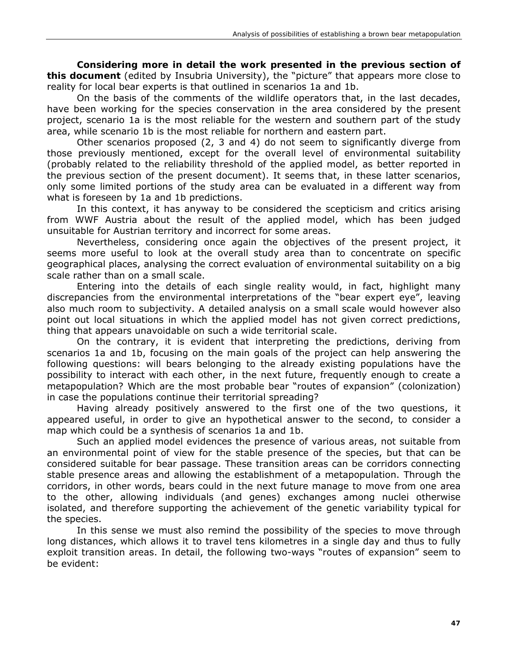**Considering more in detail the work presented in the previous section of this document** (edited by Insubria University), the "picture" that appears more close to reality for local bear experts is that outlined in scenarios 1a and 1b.

On the basis of the comments of the wildlife operators that, in the last decades, have been working for the species conservation in the area considered by the present project, scenario 1a is the most reliable for the western and southern part of the study area, while scenario 1b is the most reliable for northern and eastern part.

Other scenarios proposed (2, 3 and 4) do not seem to significantly diverge from those previously mentioned, except for the overall level of environmental suitability (probably related to the reliability threshold of the applied model, as better reported in the previous section of the present document). It seems that, in these latter scenarios, only some limited portions of the study area can be evaluated in a different way from what is foreseen by 1a and 1b predictions.

In this context, it has anyway to be considered the scepticism and critics arising from WWF Austria about the result of the applied model, which has been judged unsuitable for Austrian territory and incorrect for some areas.

Nevertheless, considering once again the objectives of the present project, it seems more useful to look at the overall study area than to concentrate on specific geographical places, analysing the correct evaluation of environmental suitability on a big scale rather than on a small scale.

Entering into the details of each single reality would, in fact, highlight many discrepancies from the environmental interpretations of the "bear expert eye", leaving also much room to subjectivity. A detailed analysis on a small scale would however also point out local situations in which the applied model has not given correct predictions, thing that appears unavoidable on such a wide territorial scale.

On the contrary, it is evident that interpreting the predictions, deriving from scenarios 1a and 1b, focusing on the main goals of the project can help answering the following questions: will bears belonging to the already existing populations have the possibility to interact with each other, in the next future, frequently enough to create a metapopulation? Which are the most probable bear "routes of expansion" (colonization) in case the populations continue their territorial spreading?

Having already positively answered to the first one of the two questions, it appeared useful, in order to give an hypothetical answer to the second, to consider a map which could be a synthesis of scenarios 1a and 1b.

Such an applied model evidences the presence of various areas, not suitable from an environmental point of view for the stable presence of the species, but that can be considered suitable for bear passage. These transition areas can be corridors connecting stable presence areas and allowing the establishment of a metapopulation. Through the corridors, in other words, bears could in the next future manage to move from one area to the other, allowing individuals (and genes) exchanges among nuclei otherwise isolated, and therefore supporting the achievement of the genetic variability typical for the species.

In this sense we must also remind the possibility of the species to move through long distances, which allows it to travel tens kilometres in a single day and thus to fully exploit transition areas. In detail, the following two-ways "routes of expansion" seem to be evident: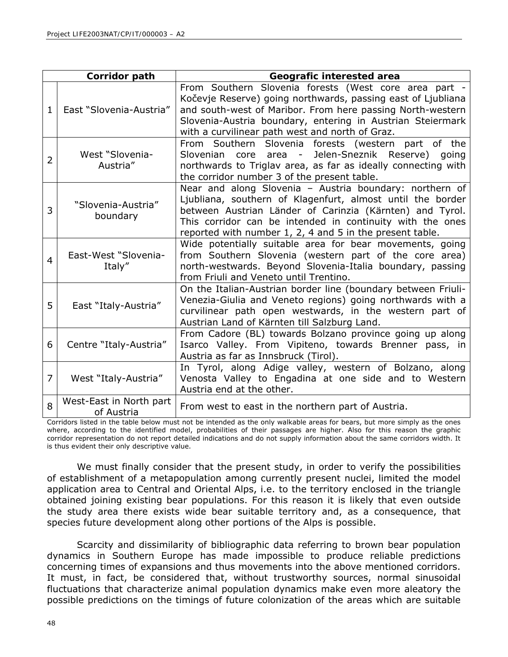| Corridor path  |                                       | Geografic interested area                                                                                                                                                                                                                                                                                  |  |  |
|----------------|---------------------------------------|------------------------------------------------------------------------------------------------------------------------------------------------------------------------------------------------------------------------------------------------------------------------------------------------------------|--|--|
| $\mathbf{1}$   | East "Slovenia-Austria"               | From Southern Slovenia forests (West core area part -<br>Kočevje Reserve) going northwards, passing east of Ljubliana<br>and south-west of Maribor. From here passing North-western<br>Slovenia-Austria boundary, entering in Austrian Steiermark<br>with a curvilinear path west and north of Graz.       |  |  |
| 2              | West "Slovenia-<br>Austria"           | From Southern Slovenia forests (western part of the<br>core area - Jelen-Sneznik Reserve) going<br>Slovenian<br>northwards to Triglav area, as far as ideally connecting with<br>the corridor number 3 of the present table.                                                                               |  |  |
| 3              | "Slovenia-Austria"<br>boundary        | Near and along Slovenia - Austria boundary: northern of<br>Ljubliana, southern of Klagenfurt, almost until the border<br>between Austrian Länder of Carinzia (Kärnten) and Tyrol.<br>This corridor can be intended in continuity with the ones<br>reported with number 1, 2, 4 and 5 in the present table. |  |  |
| $\overline{a}$ | East-West "Slovenia-<br>Italy"        | Wide potentially suitable area for bear movements, going<br>from Southern Slovenia (western part of the core area)<br>north-westwards. Beyond Slovenia-Italia boundary, passing<br>from Friuli and Veneto until Trentino.                                                                                  |  |  |
| 5              | East "Italy-Austria"                  | On the Italian-Austrian border line (boundary between Friuli-<br>Venezia-Giulia and Veneto regions) going northwards with a<br>curvilinear path open westwards, in the western part of<br>Austrian Land of Kärnten till Salzburg Land.                                                                     |  |  |
| 6              | Centre "Italy-Austria"                | From Cadore (BL) towards Bolzano province going up along<br>Isarco Valley. From Vipiteno, towards Brenner pass, in<br>Austria as far as Innsbruck (Tirol).                                                                                                                                                 |  |  |
| 7              | West "Italy-Austria"                  | In Tyrol, along Adige valley, western of Bolzano, along<br>Venosta Valley to Engadina at one side and to Western<br>Austria end at the other.                                                                                                                                                              |  |  |
| 8              | West-East in North part<br>of Austria | From west to east in the northern part of Austria.                                                                                                                                                                                                                                                         |  |  |

Corridors listed in the table below must not be intended as the only walkable areas for bears, but more simply as the ones where, according to the identified model, probabilities of their passages are higher. Also for this reason the graphic corridor representation do not report detailed indications and do not supply information about the same corridors width. It is thus evident their only descriptive value.

We must finally consider that the present study, in order to verify the possibilities of establishment of a metapopulation among currently present nuclei, limited the model application area to Central and Oriental Alps, i.e. to the territory enclosed in the triangle obtained joining existing bear populations. For this reason it is likely that even outside the study area there exists wide bear suitable territory and, as a consequence, that species future development along other portions of the Alps is possible.

Scarcity and dissimilarity of bibliographic data referring to brown bear population dynamics in Southern Europe has made impossible to produce reliable predictions concerning times of expansions and thus movements into the above mentioned corridors. It must, in fact, be considered that, without trustworthy sources, normal sinusoidal fluctuations that characterize animal population dynamics make even more aleatory the possible predictions on the timings of future colonization of the areas which are suitable